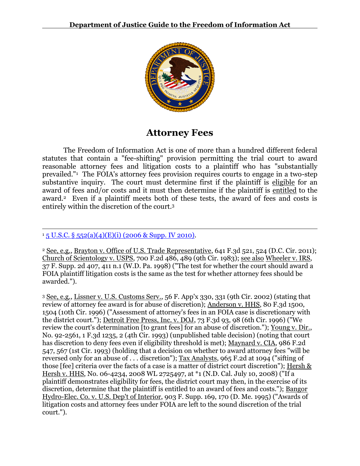

# **Attorney Fees**

The Freedom of Information Act is one of more than a hundred different federal statutes that contain a "fee-shifting" provision permitting the trial court to award reasonable attorney fees and litigation costs to a plaintiff who has "substantially prevailed."<sup>1</sup> The FOIA's attorney fees provision requires courts to engage in a two-step substantive inquiry. The court must determine first if the plaintiff is eligible for an award of fees and/or costs and it must then determine if the plaintiff is entitled to the award.2 Even if a plaintiff meets both of these tests, the award of fees and costs is entirely within the discretion of the court.<sup>3</sup>

 $\overline{a}$  $15$  U.S.C. § 552(a)(4)(E)(i) (2006 & Supp. IV 2010).

<sup>2</sup> See, e.g., Brayton v. Office of U.S. Trade Representative, 641 F.3d 521, 524 (D.C. Cir. 2011); Church of Scientology v. USPS, 700 F.2d 486, 489 (9th Cir. 1983); see also Wheeler v. IRS, 37 F. Supp. 2d 407, 411 n.1 (W.D. Pa. 1998) ("The test for whether the court should award a FOIA plaintiff litigation costs is the same as the test for whether attorney fees should be awarded.").

<sup>3</sup> See, e.g., Lissner v. U.S. Customs Serv., 56 F. App'x 330, 331 (9th Cir. 2002) (stating that review of attorney fee award is for abuse of discretion); Anderson v. HHS, 80 F.3d 1500, 1504 (10th Cir. 1996) ("Assessment of attorney's fees in an FOIA case is discretionary with the district court."); Detroit Free Press, Inc. v. DOJ, 73 F.3d 93, 98 (6th Cir. 1996) ("We review the court's determination [to grant fees] for an abuse of discretion."); Young v. Dir., No. 92-2561, 1 F.3d 1235, 2 (4th Cir. 1993) (unpublished table decision) (noting that court has discretion to deny fees even if eligibility threshold is met); Maynard v. CIA, 986 F.2d 547, 567 (1st Cir. 1993) (holding that a decision on whether to award attorney fees "will be reversed only for an abuse of . . . discretion"); Tax Analysts, 965 F.2d at 1094 ("sifting of those [fee] criteria over the facts of a case is a matter of district court discretion"); Hersh & Hersh v. HHS, No. 06-4234, 2008 WL 2725497, at \*1 (N.D. Cal. July 10, 2008) ("If a plaintiff demonstrates eligibility for fees, the district court may then, in the exercise of its discretion, determine that the plaintiff is entitled to an award of fees and costs."); Bangor Hydro-Elec. Co. v. U.S. Dep't of Interior, 903 F. Supp. 169, 170 (D. Me. 1995) ("Awards of litigation costs and attorney fees under FOIA are left to the sound discretion of the trial court.").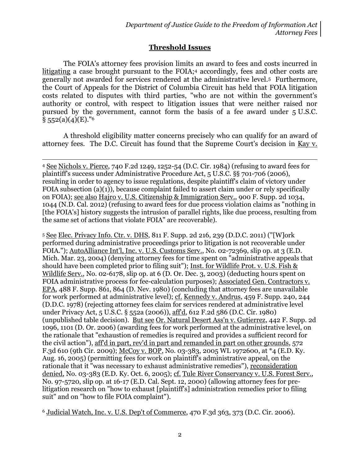# **Threshold Issues**

The FOIA's attorney fees provision limits an award to fees and costs incurred in litigating a case brought pursuant to the FOIA;<sup>4</sup> accordingly, fees and other costs are generally not awarded for services rendered at the administrative level.5 Furthermore, the Court of Appeals for the District of Columbia Circuit has held that FOIA litigation costs related to disputes with third parties, "who are not within the government's authority or control, with respect to litigation issues that were neither raised nor pursued by the government, cannot form the basis of a fee award under 5 U.S.C.  $§ 552(a)(4)(E).$ <sup>"6</sup>

A threshold eligibility matter concerns precisely who can qualify for an award of attorney fees. The D.C. Circuit has found that the Supreme Court's decision in Kay v.

 $\overline{a}$ 

<sup>5</sup> See Elec. Privacy Info. Ctr. v. DHS, 811 F. Supp. 2d 216, 239 (D.D.C. 2011) ("[W]ork performed during administrative proceedings prior to litigation is not recoverable under FOIA."); AutoAlliance Int'l, Inc. v. U.S. Customs Serv., No. 02-72369, slip op. at 3 (E.D. Mich. Mar. 23, 2004) (denying attorney fees for time spent on "administrative appeals that should have been completed prior to filing suit"); Inst. for Wildlife Prot. v. U.S. Fish & Wildlife Serv., No. 02-6178, slip op. at 6 (D. Or. Dec. 3, 2003) (deducting hours spent on FOIA administrative process for fee-calculation purposes); Associated Gen. Contractors v. EPA, 488 F. Supp. 861, 864 (D. Nev. 1980) (concluding that attorney fees are unavailable for work performed at administrative level); cf. Kennedy v. Andrus, 459 F. Supp. 240, 244 (D.D.C. 1978) (rejecting attorney fees claim for services rendered at administrative level under Privacy Act, 5 U.S.C. § 552a (2006)), aff'd, 612 F.2d 586 (D.C. Cir. 1980) (unpublished table decision). But see Or. Natural Desert Ass'n v. Gutierrez, 442 F. Supp. 2d 1096, 1101 (D. Or. 2006) (awarding fees for work performed at the administrative level, on the rationale that "exhaustion of remedies is required and provides a sufficient record for the civil action"), aff'd in part, rev'd in part and remanded in part on other grounds, 572 F.3d 610 (9th Cir. 2009); McCoy v. BOP, No. 03-383, 2005 WL 1972600, at \*4 (E.D. Ky. Aug. 16, 2005) (permitting fees for work on plaintiff's administrative appeal, on the rationale that it "was necessary to exhaust administrative remedies"), reconsideration denied, No. 03-383 (E.D. Ky. Oct. 6, 2005); cf. Tule River Conservancy v. U.S. Forest Serv., No. 97-5720, slip op. at 16-17 (E.D. Cal. Sept. 12, 2000) (allowing attorney fees for prelitigation research on "how to exhaust [plaintiff's] administration remedies prior to filing suit" and on "how to file FOIA complaint").

<sup>6</sup> Judicial Watch, Inc. v. U.S. Dep't of Commerce, 470 F.3d 363, 373 (D.C. Cir. 2006).

<sup>4</sup> See Nichols v. Pierce, 740 F.2d 1249, 1252-54 (D.C. Cir. 1984) (refusing to award fees for plaintiff's success under Administrative Procedure Act, 5 U.S.C. §§ 701-706 (2006), resulting in order to agency to issue regulations, despite plaintiff's claim of victory under FOIA subsection  $(a)(1)$ , because complaint failed to assert claim under or rely specifically on FOIA); see also Hajro v. U.S. Citizenship & Immigration Serv., 900 F. Supp. 2d 1034, 1044 (N.D. Cal. 2012) (refusing to award fees for due process violation claims as "nothing in [the FOIA's] history suggests the intrusion of parallel rights, like due process, resulting from the same set of actions that violate FOIA" are recoverable).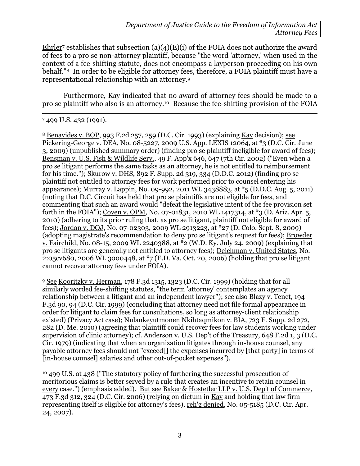Ehrler<sup>7</sup> establishes that subsection  $(a)(4)(E)(i)$  of the FOIA does not authorize the award of fees to a pro se non-attorney plaintiff, because "the word 'attorney,' when used in the context of a fee-shifting statute, does not encompass a layperson proceeding on his own behalf."8 In order to be eligible for attorney fees, therefore, a FOIA plaintiff must have a representational relationship with an attorney.<sup>9</sup>

Furthermore, Kay indicated that no award of attorney fees should be made to a pro se plaintiff who also is an attorney.10 Because the fee-shifting provision of the FOIA

 $\overline{a}$ 

<sup>8</sup> Benavides v. BOP, 993 F.2d 257, 259 (D.C. Cir. 1993) (explaining Kay decision); see Pickering-George v. DEA, No. 08-5227, 2009 U.S. App. LEXIS 12064, at \*3 (D.C. Cir. June 3, 2009) (unpublished summary order) (finding pro se plaintiff ineligible for award of fees); Bensman v. U.S. Fish & Wildlife Serv., 49 F. App'x 646, 647 (7th Cir. 2002) ("Even when a pro se litigant performs the same tasks as an attorney, he is not entitled to reimbursement for his time."); Skurow v. DHS, 892 F. Supp. 2d 319, 334 (D.D.C. 2012) (finding pro se plaintiff not entitled to attorney fees for work performed prior to counsel entering his appearance); Murray v. Lappin, No. 09-992, 2011 WL 3438883, at \*5 (D.D.C. Aug. 5, 2011) (noting that D.C. Circuit has held that pro se plaintiffs are not eligible for fees, and commenting that such an award would "defeat the legislative intent of the fee provision set forth in the FOIA"); Coven v. OPM, No. 07-01831, 2010 WL 1417314, at \*3 (D. Ariz. Apr. 5, 2010) (adhering to its prior ruling that, as pro se litigant, plaintiff not eligible for award of fees); Jordan v. DOJ, No. 07-02303, 2009 WL 2913223, at \*27 (D. Colo. Sept. 8, 2009) (adopting magistrate's recommendation to deny pro se litigant's request for fees); Browder v. Fairchild, No. 08-15, 2009 WL 2240388, at \*2 (W.D. Ky. July 24, 2009) (explaining that pro se litigants are generally not entitled to attorney fees); Deichman v. United States, No. 2:05cv680, 2006 WL 3000448, at \*7 (E.D. Va. Oct. 20, 2006) (holding that pro se litigant cannot recover attorney fees under FOIA).

<sup>9</sup> See Kooritzky v. Herman, 178 F.3d 1315, 1323 (D.C. Cir. 1999) (holding that for all similarly worded fee-shifting statutes, "the term 'attorney' contemplates an agency relationship between a litigant and an independent lawyer"); see also Blazy v. Tenet, 194 F.3d 90, 94 (D.C. Cir. 1999) (concluding that attorney need not file formal appearance in order for litigant to claim fees for consultations, so long as attorney-client relationship existed) (Privacy Act case); Nulankeyutmonen Nkihtaqmikon v. BIA, 723 F. Supp. 2d 272, 282 (D. Me. 2010) (agreeing that plaintiff could recover fees for law students working under supervision of clinic attorney); cf. Anderson v. U.S. Dep't of the Treasury, 648 F.2d 1, 3 (D.C. Cir. 1979) (indicating that when an organization litigates through in-house counsel, any payable attorney fees should not "exceed[] the expenses incurred by [that party] in terms of [in-house counsel] salaries and other out-of-pocket expenses").

<sup>10</sup> 499 U.S. at 438 ("The statutory policy of furthering the successful prosecution of meritorious claims is better served by a rule that creates an incentive to retain counsel in every case.") (emphasis added). But see Baker & Hostetler LLP v. U.S. Dep't of Commerce, 473 F.3d 312, 324 (D.C. Cir. 2006) (relying on dictum in Kay and holding that law firm representing itself is eligible for attorney's fees), reh'g denied, No. 05-5185 (D.C. Cir. Apr. 24, 2007).

<sup>7</sup> 499 U.S. 432 (1991).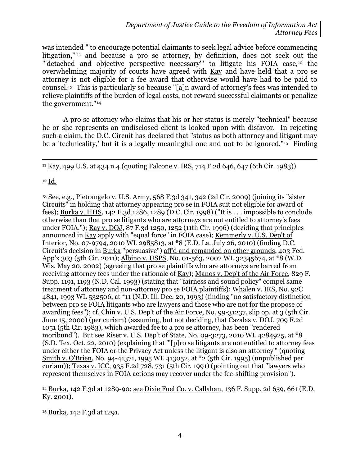was intended "'to encourage potential claimants to seek legal advice before commencing litigation,'"<sup>11</sup> and because a pro se attorney, by definition, does not seek out the "'detached and objective perspective necessary"' to litigate his FOIA case,<sup>12</sup> the overwhelming majority of courts have agreed with Kay and have held that a pro se attorney is not eligible for a fee award that otherwise would have had to be paid to counsel.13 This is particularly so because "[a]n award of attorney's fees was intended to relieve plaintiffs of the burden of legal costs, not reward successful claimants or penalize the government."<sup>14</sup>

A pro se attorney who claims that his or her status is merely "technical" because he or she represents an undisclosed client is looked upon with disfavor. In rejecting such a claim, the D.C. Circuit has declared that "status as both attorney and litigant may be a 'technicality,' but it is a legally meaningful one and not to be ignored."15 Finding

<sup>11</sup> Kay, 499 U.S. at 434 n.4 (quoting Falcone v. IRS, 714 F.2d 646, 647 (6th Cir. 1983)).

 $12 \underline{Id.}$ 

 $\overline{a}$ 

<sup>13</sup> See, e.g., Pietrangelo v. U.S. Army, 568 F.3d 341, 342 (2d Cir. 2009) (joining its "sister Circuits" in holding that attorney appearing pro se in FOIA suit not eligible for award of fees); Burka v. HHS, 142 F.3d 1286, 1289 (D.C. Cir. 1998) ("It is . . . impossible to conclude otherwise than that pro se litigants who are attorneys are not entitled to attorney's fees under FOIA."); Ray v. DOJ, 87 F.3d 1250, 1252 (11th Cir. 1996) (deciding that principles announced in Kay apply with "equal force" in FOIA case); Kemmerly v. U.S. Dep't of Interior, No. 07-9794, 2010 WL 2985813, at \*8 (E.D. La. July 26, 2010) (finding D.C. Circuit's decision in Burka "persuasive") aff'd and remanded on other grounds, 403 Fed. App'x 303 (5th Cir. 2011); Albino v. USPS, No. 01-563, 2002 WL 32345674, at \*8 (W.D. Wis. May 20, 2002) (agreeing that pro se plaintiffs who are attorneys are barred from receiving attorney fees under the rationale of Kay); Manos v. Dep't of the Air Force, 829 F. Supp. 1191, 1193 (N.D. Cal. 1993) (stating that "fairness and sound policy" compel same treatment of attorney and non-attorney pro se FOIA plaintiffs); Whalen v. IRS, No. 92C 4841, 1993 WL 532506, at \*11 (N.D. Ill. Dec. 20, 1993) (finding "no satisfactory distinction between pro se FOIA litigants who are lawyers and those who are not for the propose of awarding fees"); cf. Chin v. U.S. Dep't of the Air Force, No. 99-31237, slip op. at 3 (5th Cir. June 15, 2000) (per curiam) (assuming, but not deciding, that Cazalas v. DOJ, 709 F.2d 1051 (5th Cir. 1983), which awarded fee to a pro se attorney, has been "rendered moribund"). But see Riser v. U.S. Dep't of State, No. 09-3273, 2010 WL 4284925, at \*8 (S.D. Tex. Oct. 22, 2010) (explaining that "'[p]ro se litigants are not entitled to attorney fees under either the FOIA or the Privacy Act unless the litigant is also an attorney'" (quoting Smith v. O'Brien, No. 94-41371, 1995 WL 413052, at \*2 (5th Cir. 1995) (unpublished per curiam)); Texas v. ICC, 935 F.2d 728, 731 (5th Cir. 1991) (pointing out that "lawyers who represent themselves in FOIA actions may recover under the fee-shifting provision").

<sup>14</sup> Burka, 142 F.3d at 1289-90; see Dixie Fuel Co. v. Callahan, 136 F. Supp. 2d 659, 661 (E.D. Ky. 2001).

<sup>15</sup> Burka, 142 F.3d at 1291.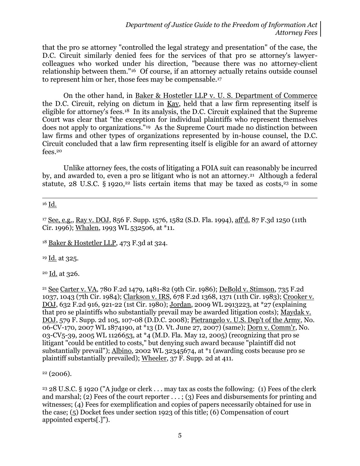*Department of Justice Guide to the Freedom of Information Act Attorney Fees*

that the pro se attorney "controlled the legal strategy and presentation" of the case, the D.C. Circuit similarly denied fees for the services of that pro se attorney's lawyercolleagues who worked under his direction, "because there was no attorney-client relationship between them."16 Of course, if an attorney actually retains outside counsel to represent him or her, those fees may be compensable.<sup>17</sup>

On the other hand, in Baker & Hostetler LLP v. U. S. Department of Commerce the D.C. Circuit, relying on dictum in Kay, held that a law firm representing itself is eligible for attorney's fees.18 In its analysis, the D.C. Circuit explained that the Supreme Court was clear that "the exception for individual plaintiffs who represent themselves does not apply to organizations."19 As the Supreme Court made no distinction between law firms and other types of organizations represented by in-house counsel, the D.C. Circuit concluded that a law firm representing itself is eligible for an award of attorney fees.<sup>20</sup>

Unlike attorney fees, the costs of litigating a FOIA suit can reasonably be incurred by, and awarded to, even a pro se litigant who is not an attorney.<sup>21</sup> Although a federal statute, 28 U.S.C. § 1920,<sup>22</sup> lists certain items that may be taxed as costs,<sup>23</sup> in some

 $\overline{a}$ <sup>16</sup> Id.

<sup>17</sup> See, e.g., Ray v. DOJ, 856 F. Supp. 1576, 1582 (S.D. Fla. 1994), aff'd, 87 F.3d 1250 (11th Cir. 1996); Whalen, 1993 WL 532506, at \*11.

<sup>18</sup> Baker & Hostetler LLP, 473 F.3d at 324.

<sup>19</sup> Id. at 325.

 $20$  Id. at 326.

<sup>21</sup> See Carter v. VA, 780 F.2d 1479, 1481-82 (9th Cir. 1986); DeBold v. Stimson, 735 F.2d 1037, 1043 (7th Cir. 1984); Clarkson v. IRS, 678 F.2d 1368, 1371 (11th Cir. 1983); Crooker v. DOJ, 632 F.2d 916, 921-22 (1st Cir. 1980); Jordan, 2009 WL 2913223, at \*27 (explaining that pro se plaintiffs who substantially prevail may be awarded litigation costs); Maydak v. DOJ, 579 F. Supp. 2d 105, 107-08 (D.D.C. 2008); Pietrangelo v. U.S. Dep't of the Army, No. 06-CV-170, 2007 WL 1874190, at \*13 (D. Vt. June 27, 2007) (same); Dorn v. Comm'r, No. 03-CV5-39, 2005 WL 1126653, at \*4 (M.D. Fla. May 12, 2005) (recognizing that pro se litigant "could be entitled to costs," but denying such award because "plaintiff did not substantially prevail"); Albino, 2002 WL 32345674, at \*1 (awarding costs because pro se plaintiff substantially prevailed); Wheeler, 37 F. Supp. 2d at 411.

 $22(2006)$ .

<sup>23</sup> 28 U.S.C. § 1920 ("A judge or clerk . . . may tax as costs the following: (1) Fees of the clerk and marshal; (2) Fees of the court reporter . . . ; (3) Fees and disbursements for printing and witnesses; (4) Fees for exemplification and copies of papers necessarily obtained for use in the case; (5) Docket fees under section 1923 of this title; (6) Compensation of court appointed experts[.]").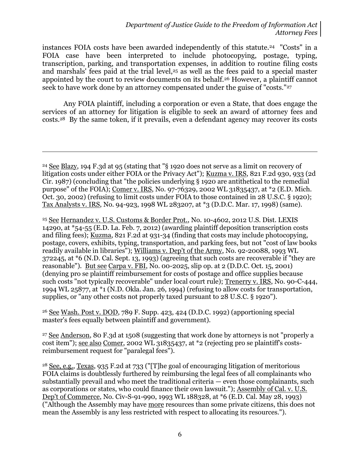instances FOIA costs have been awarded independently of this statute.24 "Costs" in a FOIA case have been interpreted to include photocopying, postage, typing, transcription, parking, and transportation expenses, in addition to routine filing costs and marshals' fees paid at the trial level,<sup>25</sup> as well as the fees paid to a special master appointed by the court to review documents on its behalf.<sup>26</sup> However, a plaintiff cannot seek to have work done by an attorney compensated under the guise of "costs."<sup>27</sup>

Any FOIA plaintiff, including a corporation or even a State, that does engage the services of an attorney for litigation is eligible to seek an award of attorney fees and costs.28 By the same token, if it prevails, even a defendant agency may recover its costs

 $\overline{a}$ 

<sup>25</sup> See Hernandez v. U.S. Customs & Border Prot., No. 10-4602, 2012 U.S. Dist. LEXIS 14290, at \*54-55 (E.D. La. Feb. 7, 2012) (awarding plaintiff deposition transcription costs and filing fees); Kuzma, 821 F.2d at 931-34 (finding that costs may include photocopying, postage, covers, exhibits, typing, transportation, and parking fees, but not "cost of law books readily available in libraries"); Williams v. Dep't of the Army, No. 92-20088, 1993 WL 372245, at \*6 (N.D. Cal. Sept. 13, 1993) (agreeing that such costs are recoverable if "they are reasonable"). But see Carpa v. FBI, No. 00-2025, slip op. at 2 (D.D.C. Oct. 15, 2001) (denying pro se plaintiff reimbursement for costs of postage and office supplies because such costs "not typically recoverable" under local court rule); Trenerry v. IRS, No. 90-C-444, 1994 WL 25877, at \*1 (N.D. Okla. Jan. 26, 1994) (refusing to allow costs for transportation, supplies, or "any other costs not properly taxed pursuant to 28 U.S.C. § 1920").

<sup>26</sup> See Wash. Post v. DOD, 789 F. Supp. 423, 424 (D.D.C. 1992) (apportioning special master's fees equally between plaintiff and government).

<sup>27</sup> See Anderson, 80 F.3d at 1508 (suggesting that work done by attorneys is not "properly a cost item"); see also Comer, 2002 WL 31835437, at \*2 (rejecting pro se plaintiff's costsreimbursement request for "paralegal fees").

<sup>28</sup> See, e.g., Texas, 935 F.2d at 733 ("[T]he goal of encouraging litigation of meritorious FOIA claims is doubtlessly furthered by reimbursing the legal fees of all complainants who substantially prevail and who meet the traditional criteria — even those complainants, such as corporations or states, who could finance their own lawsuit."); Assembly of Cal. v. U.S. Dep't of Commerce, No. Civ-S-91-990, 1993 WL 188328, at \*6 (E.D. Cal. May 28, 1993) ("Although the Assembly may have more resources than some private citizens, this does not mean the Assembly is any less restricted with respect to allocating its resources.").

<sup>24</sup> See Blazy, 194 F.3d at 95 (stating that "§ 1920 does not serve as a limit on recovery of litigation costs under either FOIA or the Privacy Act"); Kuzma v. IRS, 821 F.2d 930, 933 (2d Cir. 1987) (concluding that "the policies underlying § 1920 are antithetical to the remedial purpose" of the FOIA); Comer v. IRS, No. 97-76329, 2002 WL 31835437, at \*2 (E.D. Mich. Oct. 30, 2002) (refusing to limit costs under FOIA to those contained in 28 U.S.C. § 1920); Tax Analysts v. IRS, No. 94-923, 1998 WL 283207, at \*3 (D.D.C. Mar. 17, 1998) (same).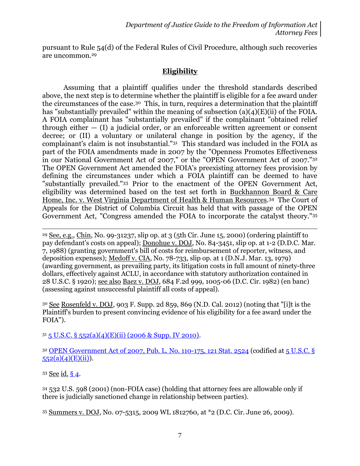pursuant to Rule 54(d) of the Federal Rules of Civil Procedure, although such recoveries are uncommon.<sup>29</sup>

# **Eligibility**

Assuming that a plaintiff qualifies under the threshold standards described above, the next step is to determine whether the plaintiff is eligible for a fee award under the circumstances of the case. <sup>30</sup> This, in turn, requires a determination that the plaintiff has "substantially prevailed" within the meaning of subsection (a)(4)(E)(ii) of the FOIA. A FOIA complainant has "substantially prevailed" if the complainant "obtained relief through either  $-$  (I) a judicial order, or an enforceable written agreement or consent decree; or (II) a voluntary or unilateral change in position by the agency, if the complainant's claim is not insubstantial."<sup>31</sup> This standard was included in the FOIA as part of the FOIA amendments made in 2007 by the "Openness Promotes Effectiveness in our National Government Act of 2007," or the "OPEN Government Act of 2007."<sup>32</sup> The OPEN Government Act amended the FOIA's preexisting attorney fees provision by defining the circumstances under which a FOIA plaintiff can be deemed to have "substantially prevailed."<sup>33</sup> Prior to the enactment of the OPEN Government Act, eligibility was determined based on the test set forth in Buckhannon Board & Care Home, Inc. v. West Virginia Department of Health & Human Resources.<sup>34</sup> The Court of Appeals for the District of Columbia Circuit has held that with passage of the OPEN Government Act, "Congress amended the FOIA to incorporate the catalyst theory."<sup>35</sup>

<sup>29</sup> See, e.g., Chin, No. 99-31237, slip op. at 3 (5th Cir. June 15, 2000) (ordering plaintiff to pay defendant's costs on appeal); Donohue v. DOJ, No. 84-3451, slip op. at 1-2 (D.D.C. Mar. 7, 1988) (granting government's bill of costs for reimbursement of reporter, witness, and deposition expenses); Medoff v. CIA, No. 78-733, slip op. at 1 (D.N.J. Mar. 13, 1979) (awarding government, as prevailing party, its litigation costs in full amount of ninety-three dollars, effectively against ACLU, in accordance with statutory authorization contained in 28 U.S.C. § 1920); see also Baez v. DOJ, 684 F.2d 999, 1005-06 (D.C. Cir. 1982) (en banc) (assessing against unsuccessful plaintiff all costs of appeal).

<sup>30</sup> See Rosenfeld v. DOJ, 903 F. Supp. 2d 859, 869 (N.D. Cal. 2012) (noting that "[i]t is the Plaintiff's burden to present convincing evidence of his eligibility for a fee award under the FOIA").

 $31\overline{5}$  U.S.C. §  $552(a)(4)$ (E)(ii) (2006 & Supp. IV 2010).

<sup>32</sup> [OPEN Government Act of 2007, Pub. L. No. 110-175, 121 Stat. 2524](http://www.justice.gov/oip/amended-foia-redlined-2010.pdf) (codified at [5 U.S.C. §](http://www.justice.gov/oip/amended-foia-redlined-2010.pdf)   $552(a)(4)(E)(ii)$ ).

<sup>33</sup> See id. [§ 4.](http://www.justice.gov/oip/amended-foia-redlined-2010.pdf)

 $\overline{a}$ 

<sup>34</sup> 532 U.S. 598 (2001) (non-FOIA case) (holding that attorney fees are allowable only if there is judicially sanctioned change in relationship between parties).

<sup>35</sup> Summers v. DOJ, No. 07-5315, 2009 WL 1812760, at \*2 (D.C. Cir. June 26, 2009).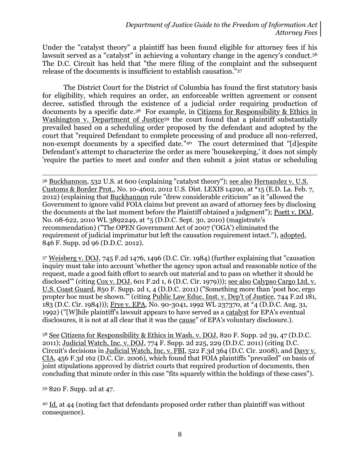Under the "catalyst theory" a plaintiff has been found eligible for attorney fees if his lawsuit served as a "catalyst" in achieving a voluntary change in the agency's conduct.<sup>36</sup> The D.C. Circuit has held that "the mere filing of the complaint and the subsequent release of the documents is insufficient to establish causation."<sup>37</sup>

The District Court for the District of Columbia has found the first statutory basis for eligibility, which requires an order, an enforceable written agreement or consent decree, satisfied through the existence of a judicial order requiring production of documents by a specific date.<sup>38</sup> For example, in Citizens for Responsibility & Ethics in Washington v. Department of Justice<sup>39</sup> the court found that a plaintiff substantially prevailed based on a scheduling order proposed by the defendant and adopted by the court that "required Defendant to complete processing of and produce all non-referred, non-exempt documents by a specified date." <sup>40</sup> The court determined that "[d]espite Defendant's attempt to characterize the order as mere 'housekeeping,' it does not simply 'require the parties to meet and confer and then submit a joint status or scheduling

 $\overline{a}$ <sup>36</sup> Buckhannon, 532 U.S. at 600 (explaining "catalyst theory"); see also Hernandez v. U.S. Customs & Border Prot., No. 10-4602, 2012 U.S. Dist. LEXIS 14290, at \*15 (E.D. La. Feb. 7, 2012) (explaining that Buckhannon rule "drew considerable criticism" as it "allowed the Government to ignore valid FOIA claims but prevent an award of attorney fees by disclosing the documents at the last moment before the Plaintiff obtained a judgment"); Poett v. DOJ, No. 08-622, 2010 WL 3892249, at \*5 (D.D.C. Sept. 30, 2010) (magistrate's recommendation) ("The OPEN Government Act of 2007 ('OGA') eliminated the requirement of judicial imprimatur but left the causation requirement intact."), adopted, 846 F. Supp. 2d 96 (D.D.C. 2012).

<sup>37</sup> Weisberg v. DOJ, 745 F.2d 1476, 1496 (D.C. Cir. 1984) (further explaining that "causation inquiry must take into account 'whether the agency upon actual and reasonable notice of the request, made a good faith effort to search out material and to pass on whether it should be disclosed'" (citing [Cox v. DOJ, 601 F.2d 1, 6 \(D.C. Cir. 1979\)\)](https://web2.westlaw.com/find/default.wl?mt=Westlaw&db=350&tc=-1&rp=%2ffind%2fdefault.wl&findtype=Y&ordoc=1984146916&serialnum=1979113558&vr=2.0&fn=_top&sv=Split&tf=-1&pbc=1E53318F&rs=WLW12.04)); <u>see also Calypso Cargo Ltd. v.</u> U.S. Coast Guard, 850 F. Supp. 2d 1, 4 (D.D.C. 2011) ("Something more than 'post hoc, ergo propter hoc must be shown." (citing Public Law Educ. Inst. v. Dep't of Justice, 744 F.2d 181, 183 (D.C. Cir. 1984))); Frye v. EPA, No. 90-3041, 1992 WL 237370, at \*4 (D.D.C. Aug. 31, 1992) ("[W]hile plaintiff's lawsuit appears to have served as a catalyst for EPA's eventual disclosures, it is not at all clear that it was the **cause**" of EPA's voluntary disclosure.).

<sup>38</sup> See Citizens for Responsibility & Ethics in Wash. v. DOJ, 820 F. Supp. 2d 39, 47 (D.D.C. 2011); Judicial Watch, Inc. v. DOJ, 774 F. Supp. 2d 225, 229 (D.D.C. 2011) (citing D.C. Circuit's decisions in Judicial Watch, Inc. v. FBI, 522 F.3d 364 (D.C. Cir. 2008), and Davy v. CIA, 456 F.3d 162 (D.C. Cir. 2006), which found that FOIA plaintiffs "prevailed" on basis of joint stipulations approved by district courts that required production of documents, then concluding that minute order in this case "fits squarely within the holdings of these cases").

<sup>39</sup> 820 F. Supp. 2d at 47.

<sup>40</sup> Id. at 44 (noting fact that defendants proposed order rather than plaintiff was without consequence).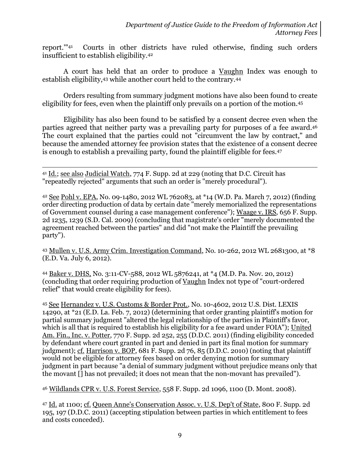report.'"<sup>41</sup> Courts in other districts have ruled otherwise, finding such orders insufficient to establish eligibility. 42

A court has held that an order to produce a Vaughn Index was enough to establish eligibility,<sup>43</sup> while another court held to the contrary.<sup>44</sup>

Orders resulting from summary judgment motions have also been found to create eligibility for fees, even when the plaintiff only prevails on a portion of the motion.<sup>45</sup>

Eligibility has also been found to be satisfied by a consent decree even when the parties agreed that neither party was a prevailing party for purposes of a fee award. 46 The court explained that the parties could not "circumvent the law by contract," and because the amended attorney fee provision states that the existence of a consent decree is enough to establish a prevailing party, found the plaintiff eligible for fees.<sup>47</sup>

 $\overline{a}$ <sup>41</sup> Id.; see also Judicial Watch, 774 F. Supp. 2d at 229 (noting that D.C. Circuit has "repeatedly rejected" arguments that such an order is "merely procedural").

<sup>42</sup> See Pohl v. EPA, No. 09-1480, 2012 WL 762083, at \*14 (W.D. Pa. March 7, 2012) (finding order directing production of data by certain date "merely memorialized the representations of Government counsel during a case management conference"); Waage v. IRS, 656 F. Supp. 2d 1235, 1239 (S.D. Cal. 2009) (concluding that magistrate's order "merely documented the agreement reached between the parties" and did "not make the Plaintiff the prevailing party").

<sup>43</sup> Mullen v. U.S. Army Crim. Investigation Command, No. 10-262, 2012 WL 2681300, at \*8 (E.D. Va. July 6, 2012).

<sup>44</sup> Baker v. DHS, No. 3:11-CV-588, 2012 WL 5876241, at \*4 (M.D. Pa. Nov. 20, 2012) (concluding that order requiring production of Vaughn Index not type of "court-ordered relief" that would create eligibility for fees).

<sup>45</sup> See Hernandez v. U.S. Customs & Border Prot., No. 10-4602, 2012 U.S. Dist. LEXIS 14290, at \*21 (E.D. La. Feb. 7, 2012) (determining that order granting plaintiff's motion for partial summary judgment "altered the legal relationship of the parties in Plaintiff's favor, which is all that is required to establish his eligibility for a fee award under FOIA"); United Am. Fin., Inc. v. Potter, 770 F. Supp. 2d 252, 255 (D.D.C. 2011) (finding eligibility conceded by defendant where court granted in part and denied in part its final motion for summary judgment); cf. Harrison v. BOP, 681 F. Supp. 2d 76, 85 (D.D.C. 2010) (noting that plaintiff would not be eligible for attorney fees based on order denying motion for summary judgment in part because "a denial of summary judgment without prejudice means only that the movant [] has not prevailed; it does not mean that the non-movant has prevailed").

<sup>46</sup> Wildlands CPR v. U.S. Forest Service, 558 F. Supp. 2d 1096, 1100 (D. Mont. 2008).

47 Id. at 1100; cf. Queen Anne's Conservation Assoc. v. U.S. Dep't of State, 800 F. Supp. 2d 195, 197 (D.D.C. 2011) (accepting stipulation between parties in which entitlement to fees and costs conceded).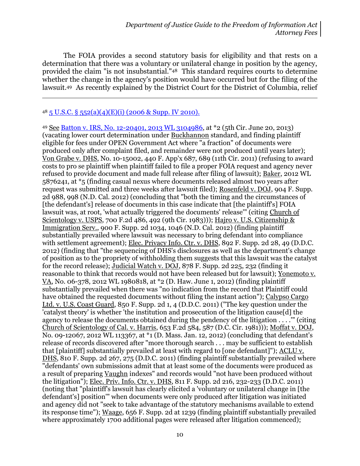The FOIA provides a second statutory basis for eligibility and that rests on a determination that there was a voluntary or unilateral change in position by the agency, provided the claim "is not insubstantial."<sup>48</sup> This standard requires courts to determine whether the change in the agency's position would have occurred but for the filing of the lawsuit.<sup>49</sup> As recently explained by the District Court for the District of Columbia, relief

#### $48\overline{5}$  U.S.C.  $\S$   $552(a)(4)(E)(i)$  (2006 & Supp. IV 2010).

 $\overline{a}$ 

49 See [Batton v. IRS, No. 12-20401, 2013 WL 3104986,](http://blogs.justice.gov/court-decisions/archives/689) at \*2 (5th Cir. June 20, 2013) (vacating lower court determination under Buckhannon standard, and finding plaintiff eligible for fees under OPEN Government Act where "a fraction" of documents were produced only after complaint filed, and remainder were not produced until years later); Von Grabe v. DHS, No. 10-15002, 440 F. App'x 687, 689 (11th Cir. 2011) (refusing to award costs to pro se plaintiff when plaintiff failed to file a proper FOIA request and agency never refused to provide document and made full release after filing of lawsuit); Baker, 2012 WL 5876241, at \*5 (finding casual nexus where documents released almost two years after request was submitted and three weeks after lawsuit filed); Rosenfeld v. DOJ, 904 F. Supp. 2d 988, 998 (N.D. Cal. 2012) (concluding that "both the timing and the circumstances of [the defendant's] release of documents in this case indicate that [the plaintiff's] FOIA lawsuit was, at root, 'what actually triggered the documents' release'" (citing Church of Scientology v. USPS, 700 F.2d 486, 492 (9th Cir. 1983))); Hajro v. U.S. Citizenship & Immigration Serv., 900 F. Supp. 2d 1034, 1046 (N.D. Cal. 2012) (finding plaintiff substantially prevailed where lawsuit was necessary to bring defendant into compliance with settlement agreement); Elec. Privacy Info. Ctr. v. DHS, 892 F. Supp. 2d 28, 49 (D.D.C. 2012) (finding that "the sequencing of DHS's disclosures as well as the department's change of position as to the propriety of withholding them suggests that this lawsuit was the catalyst for the record release); Judicial Watch v. DOJ, 878 F. Supp. 2d 225, 232 (finding it reasonable to think that records would not have been released but for lawsuit); Yonemoto v. VA, No. 06-378, 2012 WL 1980818, at \*2 (D. Haw. June 1, 2012) (finding plaintiff substantially prevailed when there was "no indication from the record that Plaintiff could have obtained the requested documents without filing the instant action"); Calypso Cargo Ltd. v. U.S. Coast Guard, 850 F. Supp. 2d 1, 4 (D.D.C. 2011) ("The key question under the 'catalyst theory' is whether 'the institution and prosecution of the litigation cause[d] the agency to release the documents obtained during the pendency of the litigation . . . .'" (citing Church of Scientology of Cal. v. Harris, 653 F.2d 584, 587 (D.C. Cir. 1981))); Moffat v. DOJ, No. 09-12067, 2012 WL 113367, at \*1 (D. Mass. Jan. 12, 2012) (concluding that defendant's release of records discovered after "more thorough search . . . may be sufficient to establish that [plaintiff] substantially prevailed at least with regard to [one defendant]"); ACLU v. DHS, 810 F. Supp. 2d 267, 275 (D.D.C. 2011) (finding plaintiff substantially prevailed where "defendants' own submissions admit that at least some of the documents were produced as a result of preparing Vaughn indexes" and records would "not have been produced without the litigation"); Elec. Priv. Info. Ctr. v. DHS, 811 F. Supp. 2d 216, 232-233 (D.D.C. 2011) (noting that "plaintiff's lawsuit has clearly elicited a 'voluntary or unilateral change in [the defendant's] position'" when documents were only produced after litigation was initiated and agency did not "seek to take advantage of the statutory mechanisms available to extend its response time"); Waage, 656 F. Supp. 2d at 1239 (finding plaintiff substantially prevailed where approximately 1700 additional pages were released after litigation commenced);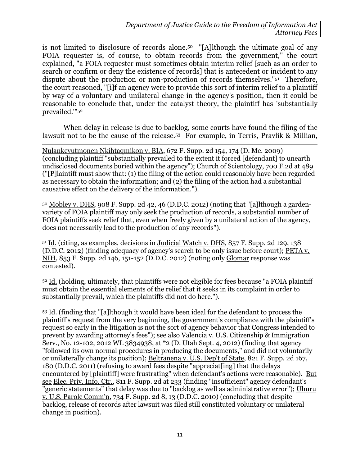is not limited to disclosure of records alone.50 "[A]lthough the ultimate goal of any FOIA requester is, of course, to obtain records from the government," the court explained, "a FOIA requester must sometimes obtain interim relief [such as an order to search or confirm or deny the existence of records] that is antecedent or incident to any dispute about the production or non-production of records themselves."<sup>51</sup> Therefore, the court reasoned, "[i]f an agency were to provide this sort of interim relief to a plaintiff by way of a voluntary and unilateral change in the agency's position, then it could be reasonable to conclude that, under the catalyst theory, the plaintiff has 'substantially prevailed.'" 52

When delay in release is due to backlog, some courts have found the filing of the lawsuit not to be the cause of the release.<sup>53</sup> For example, in Terris, Pravlik & Millian,

 $\overline{a}$ Nulankeyutmonen Nkihtaqmikon v. BIA, 672 F. Supp. 2d 154, 174 (D. Me. 2009) (concluding plaintiff "substantially prevailed to the extent it forced [defendant] to unearth undisclosed documents buried within the agency"); Church of Scientology, 700 F.2d at 489 ("[P]laintiff must show that: (1) the filing of the action could reasonably have been regarded as necessary to obtain the information; and (2) the filing of the action had a substantial causative effect on the delivery of the information.").

 $50$  Mobley v. DHS, 908 F. Supp. 2d 42, 46 (D.D.C. 2012) (noting that "[a]] though a gardenvariety of FOIA plaintiff may only seek the production of records, a substantial number of FOIA plaintiffs seek relief that, even when freely given by a unilateral action of the agency, does not necessarily lead to the production of any records").

<sup>51</sup> Id. (citing, as examples, decisions in Judicial Watch v. DHS, 857 F. Supp. 2d 129, 138 (D.D.C. 2012) (finding adequacy of agency's search to be only issue before court); PETA v. NIH, 853 F. Supp. 2d 146, 151-152 (D.D.C. 2012) (noting only Glomar response was contested).

<sup>52</sup> Id. (holding, ultimately, that plaintiffs were not eligible for fees because "a FOIA plaintiff must obtain the essential elements of the relief that it seeks in its complaint in order to substantially prevail, which the plaintiffs did not do here.").

<sup>53</sup> Id. (finding that "[a]lthough it would have been ideal for the defendant to process the plaintiff's request from the very beginning, the government's compliance with the plaintiff's request so early in the litigation is not the sort of agency behavior that Congress intended to prevent by awarding attorney's fees"); see also Valencia v. U.S. Citizenship & Immigration Serv., No. 12-102, 2012 WL 3834938, at \*2 (D. Utah Sept. 4, 2012) (finding that agency "followed its own normal procedures in producing the documents," and did not voluntarily or unilaterally change its position); Beltranena v. U.S. Dep't of State, 821 F. Supp. 2d 167, 180 (D.D.C. 2011) (refusing to award fees despite "appreciat[ing] that the delays encountered by [plaintiff] were frustrating" when defendant's actions were reasonable). But see Elec. Priv. Info. Ctr., 811 F. Supp. 2d at 233 (finding "insufficient" agency defendant's "generic statements" that delay was due to "backlog as well as administrative error"); Uhuru v. U.S. Parole Comm'n, 734 F. Supp. 2d 8, 13 (D.D.C. 2010) (concluding that despite backlog, release of records after lawsuit was filed still constituted voluntary or unilateral change in position).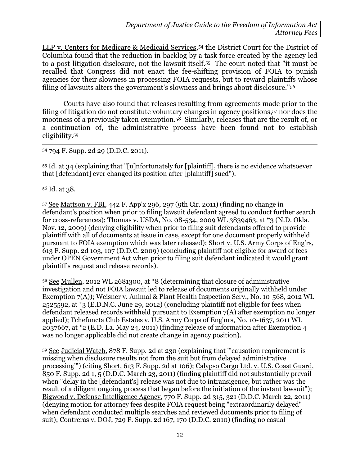LLP v. Centers for Medicare & Medicaid Services, <sup>54</sup> the District Court for the District of Columbia found that the reduction in backlog by a task force created by the agency led to a post-litigation disclosure, not the lawsuit itself.55 The court noted that "it must be recalled that Congress did not enact the fee-shifting provision of FOIA to punish agencies for their slowness in processing FOIA requests, but to reward plaintiffs whose filing of lawsuits alters the government's slowness and brings about disclosure." 56

Courts have also found that releases resulting from agreements made prior to the filing of litigation do not constitute voluntary changes in agency positions,<sup>57</sup> nor does the mootness of a previously taken exemption.58 Similarly, releases that are the result of, or a continuation of, the administrative process have been found not to establish eligibility.<sup>59</sup>

<sup>54</sup> 794 F. Supp. 2d 29 (D.D.C. 2011).

<sup>55</sup> Id. at 34 (explaining that "[u]nfortunately for [plaintiff], there is no evidence whatsoever that [defendant] ever changed its position after [plaintiff] sued").

<sup>56</sup> Id. at 38.

 $\overline{a}$ 

<sup>57</sup> See Mattson v. FBI, 442 F. App'x 296, 297 (9th Cir. 2011) (finding no change in defendant's position when prior to filing lawsuit defendant agreed to conduct further search for cross-references); Thomas v. USDA, No. 08-534, 2009 WL 3839463, at \*3 (N.D. Okla. Nov. 12, 2009) (denying eligibility when prior to filing suit defendants offered to provide plaintiff with all of documents at issue in case, except for one document properly withheld pursuant to FOIA exemption which was later released); Short v. U.S. Army Corps of Eng'rs, 613 F. Supp. 2d 103, 107 (D.D.C. 2009) (concluding plaintiff not eligible for award of fees under OPEN Government Act when prior to filing suit defendant indicated it would grant plaintiff's request and release records).

<sup>58</sup> See Mullen, 2012 WL 2681300, at \*8 (determining that closure of administrative investigation and not FOIA lawsuit led to release of documents originally withheld under Exemption 7(A)); Weisner v. Animal & Plant Health Inspection Serv., No. 10-568, 2012 WL 2525592, at  $*$ 3 (E.D.N.C. June 29, 2012) (concluding plaintiff not eligible for fees when defendant released records withheld pursuant to Exemption 7(A) after exemption no longer applied); Tchefuncta Club Estates v. U.S. Army Corps of Eng'nrs, No. 10-1637, 2011 WL 2037667, at \*2 (E.D. La. May 24, 2011) (finding release of information after Exemption 4 was no longer applicable did not create change in agency position).

<sup>59</sup> See Judicial Watch, 878 F. Supp. 2d at 230 (explaining that "'causation requirement is missing when disclosure results not from the suit but from delayed administrative processing'") (citing Short, 613 F. Supp. 2d at 106); Calypso Cargo Ltd. v. U.S. Coast Guard, 850 F. Supp. 2d 1, 5 (D.D.C. March 23, 2011) (finding plaintiff did not substantially prevail when "delay in the [defendant's] release was not due to intransigence, but rather was the result of a diligent ongoing process that began before the initiation of the instant lawsuit"); Bigwood v. Defense Intelligence Agency, 770 F. Supp. 2d 315, 321 (D.D.C. March 22, 2011) (denying motion for attorney fees despite FOIA request being "extraordinarily delayed" when defendant conducted multiple searches and reviewed documents prior to filing of suit); Contreras v. DOJ, 729 F. Supp. 2d 167, 170 (D.D.C. 2010) (finding no casual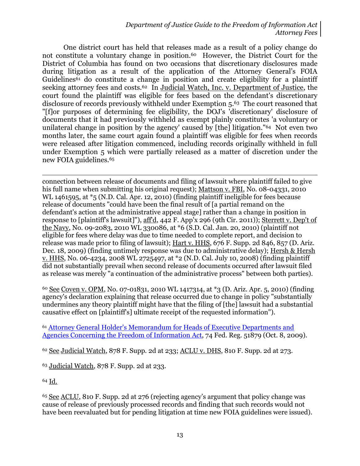One district court has held that releases made as a result of a policy change do not constitute a voluntary change in position.60 However, the District Court for the District of Columbia has found on two occasions that discretionary disclosures made during litigation as a result of the application of the Attorney General's FOIA Guidelines<sup>61</sup> do constitute a change in position and create eligibility for a plaintiff seeking attorney fees and costs.<sup>62</sup> In Judicial Watch, Inc. v. Department of Justice, the court found the plaintiff was eligible for fees based on the defendant's discretionary disclosure of records previously withheld under Exemption 5. <sup>63</sup> The court reasoned that "[f]or purposes of determining fee eligibility, the DOJ's 'discretionary' disclosure of documents that it had previously withheld as exempt plainly constitutes 'a voluntary or unilateral change in position by the agency' caused by [the] litigation." <sup>64</sup> Not even two months later, the same court again found a plaintiff was eligible for fees when records were released after litigation commenced, including records originally withheld in full under Exemption 5 which were partially released as a matter of discretion under the new FOIA guidelines.<sup>65</sup>

 $\overline{a}$ connection between release of documents and filing of lawsuit where plaintiff failed to give his full name when submitting his original request); Mattson v. FBI, No. 08-04331, 2010 WL 1461595, at \*5 (N.D. Cal. Apr. 12, 2010) (finding plaintiff ineligible for fees because release of documents "could have been the final result of [a partial remand on the defendant's action at the administrative appeal stage] rather than a change in position in response to [plaintiff's lawsuit]"), aff'd, 442 F. App'x 296 (9th Cir. 2011)); Sterrett v. Dep't of the Navy, No. 09-2083, 2010 WL 330086, at \*6 (S.D. Cal. Jan. 20, 2010) (plaintiff not eligible for fees where delay was due to time needed to complete report, and decision to release was made prior to filing of lawsuit); Hart v. HHS, 676 F. Supp. 2d 846, 857 (D. Ariz. Dec. 18, 2009) (finding untimely response was due to administrative delay); Hersh & Hersh v. HHS, No. 06-4234, 2008 WL 2725497, at \*2 (N.D. Cal. July 10, 2008) (finding plaintiff did not substantially prevail when second release of documents occurred after lawsuit filed as release was merely "a continuation of the administrative process" between both parties).

<sup>60</sup> See Coven v. OPM, No. 07-01831, 2010 WL 1417314, at \*3 (D. Ariz. Apr. 5, 2010) (finding agency's declaration explaining that release occurred due to change in policy "substantially undermines any theory plaintiff might have that the filing of [the] lawsuit had a substantial causative effect on [plaintiff's] ultimate receipt of the requested information").

<sup>61</sup> [Attorney General Holder's Memorandum for Heads of Executive Departments and](http://www.justice.gov/ag/foia-memo-march2009.pdf)  [Agencies Concerning the Freedom of Information Act,](http://www.justice.gov/ag/foia-memo-march2009.pdf) 74 Fed. Reg. 51879 (Oct. 8, 2009).

<sup>62</sup> See Judicial Watch, 878 F. Supp. 2d at 233; ACLU v. DHS, 810 F. Supp. 2d at 273.

<sup>63</sup> Judicial Watch, 878 F. Supp. 2d at 233.

<sup>64</sup> Id.

<sup>65</sup> See ACLU, 810 F. Supp. 2d at 276 (rejecting agency's argument that policy change was cause of release of previously processed records and finding that such records would not have been reevaluated but for pending litigation at time new FOIA guidelines were issued).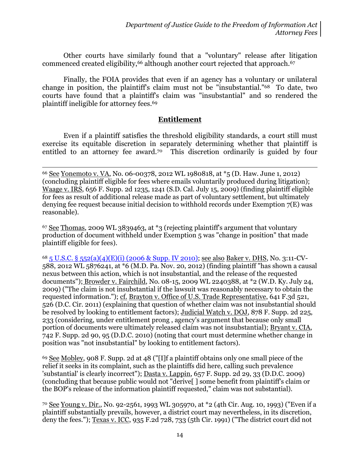Other courts have similarly found that a "voluntary" release after litigation commenced created eligibility,<sup>66</sup> although another court rejected that approach.<sup>67</sup>

Finally, the FOIA provides that even if an agency has a voluntary or unilateral change in position, the plaintiff's claim must not be "insubstantial." <sup>68</sup> To date, two courts have found that a plaintiff's claim was "insubstantial" and so rendered the plaintiff ineligible for attorney fees.<sup>69</sup>

## **Entitlement**

Even if a plaintiff satisfies the threshold eligibility standards, a court still must exercise its equitable discretion in separately determining whether that plaintiff is entitled to an attorney fee award.<sup>70</sup> This discretion ordinarily is guided by four

 $\overline{a}$ 

<sup>67</sup> See Thomas, 2009 WL 3839463, at \*3 (rejecting plaintiff's argument that voluntary production of document withheld under Exemption 5 was "change in position" that made plaintiff eligible for fees).

<sup>68</sup> [5 U.S.C. § 552\(a\)\(4\)\(E\)\(i\)](http://www.justice.gov/oip/amended-foia-redlined-2010.pdf) (2006 & Supp. IV 2010); see also Baker v. DHS, No. 3:11-CV-588, 2012 WL 5876241, at \*6 (M.D. Pa. Nov. 20, 2012) (finding plaintiff "has shown a causal nexus between this action, which is not insubstantial, and the release of the requested documents"); Browder v. Fairchild, No. 08-15, 2009 WL 2240388, at \*2 (W.D. Ky. July 24, 2009) ("The claim is not insubstantial if the lawsuit was reasonably necessary to obtain the requested information."); cf. Brayton v. Office of U.S. Trade Representative, 641 F.3d 521, 526 (D.C. Cir. 2011) (explaining that question of whether claim was not insubstantial should be resolved by looking to entitlement factors); Judicial Watch v. DOJ, 878 F. Supp. 2d 225, 233 (considering, under entitlement prong , agency's argument that because only small portion of documents were ultimately released claim was not insubstantial); Bryant v. CIA, 742 F. Supp. 2d 90, 95 (D.D.C. 2010) (noting that court must determine whether change in position was "not insubstantial" by looking to entitlement factors).

<sup>69</sup> See Mobley, 908 F. Supp. 2d at 48 ("[I]f a plaintiff obtains only one small piece of the relief it seeks in its complaint, such as the plaintiffs did here, calling such prevalence 'substantial' is clearly incorrect"); Dasta v. Lappin, 657 F. Supp. 2d 29, 33 (D.D.C. 2009) (concluding that because public would not "derive[ ] some benefit from plaintiff's claim or the BOP's release of the information plaintiff requested," claim was not substantial).

<sup>70</sup> See Young v. Dir., No. 92-2561, 1993 WL 305970, at \*2 (4th Cir. Aug. 10, 1993) ("Even if a plaintiff substantially prevails, however, a district court may nevertheless, in its discretion, deny the fees."); Texas v. ICC, 935 F.2d 728, 733 (5th Cir. 1991) ("The district court did not

<sup>66</sup> See Yonemoto v. VA, No. 06-00378, 2012 WL 1980818, at \*5 (D. Haw. June 1, 2012) (concluding plaintiff eligible for fees where emails voluntarily produced during litigation); Waage v. IRS, 656 F. Supp. 2d 1235, 1241 (S.D. Cal. July 15, 2009) (finding plaintiff eligible for fees as result of additional release made as part of voluntary settlement, but ultimately denying fee request because initial decision to withhold records under Exemption  $7(E)$  was reasonable).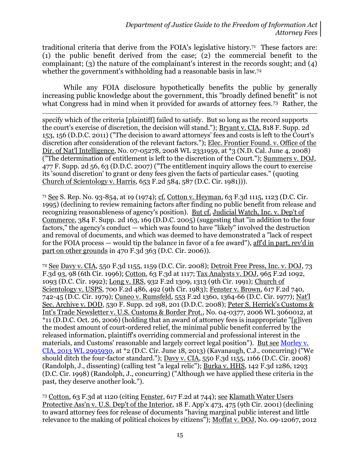traditional criteria that derive from the FOIA's legislative history.<sup>71</sup> These factors are: (1) the public benefit derived from the case; (2) the commercial benefit to the complainant; (3) the nature of the complainant's interest in the records sought; and (4) whether the government's withholding had a reasonable basis in law.<sup>72</sup>

While any FOIA disclosure hypothetically benefits the public by generally increasing public knowledge about the government, this "broadly defined benefit" is not what Congress had in mind when it provided for awards of attorney fees.73 Rather, the

 $\overline{a}$ specify which of the criteria [plaintiff] failed to satisfy. But so long as the record supports the court's exercise of discretion, the decision will stand."); Bryant v. CIA, 818 F. Supp. 2d 153, 156 (D.D.C. 2011) ("The decision to award attorneys' fees and costs is left to the Court's discretion after consideration of the relevant factors."); Elec. Frontier Found. v. Office of the Dir. of Nat'l Intelligence, No. 07-05278, 2008 WL 2331959, at \*3 (N.D. Cal. June 4, 2008) ("The determination of entitlement is left to the discretion of the Court."); Summers v. DOJ, 477 F. Supp. 2d 56, 63 (D.D.C. 2007) ("The entitlement inquiry allows the court to exercise its 'sound discretion' to grant or deny fees given the facts of particular cases." (quoting Church of Scientology v. Harris, 653 F.2d 584, 587 (D.C. Cir. 1981))).

<sup>71</sup> See S. Rep. No. 93-854, at 19 (1974); cf. Cotton v. Heyman, 63 F.3d 1115, 1123 (D.C. Cir. 1995) (declining to review remaining factors after finding no public benefit from release and recognizing reasonableness of agency's position). But cf. Judicial Watch, Inc. v. Dep't of Commerce, 384 F. Supp. 2d 163, 169 (D.D.C. 2005) (suggesting that "in addition to the four factors," the agency's conduct — which was found to have "likely" involved the destruction and removal of documents, and which was deemed to have demonstrated a "lack of respect for the FOIA process — would tip the balance in favor of a fee award"), aff'd in part, rev'd in part on other grounds in 470 F.3d 363 (D.C. Cir. 2006)).

<sup>72</sup> See Davy v. CIA, 550 F.3d 1155, 1159 (D.C. Cir. 2008); Detroit Free Press, Inc. v. DOJ, 73 F.3d 93, 98 (6th Cir. 1996); Cotton, 63 F.3d at 1117; Tax Analysts v. DOJ, 965 F.2d 1092, 1093 (D.C. Cir. 1992); Long v. IRS, 932 F.2d 1309, 1313 (9th Cir. 1991); Church of Scientology v. USPS, 700 F.2d 486, 492 (9th Cir. 1983); Fenster v. Brown, 617 F.2d 740, 742-45 (D.C. Cir. 1979); Cuneo v. Rumsfeld, 553 F.2d 1360, 1364-66 (D.C. Cir. 1977); Nat'l Sec. Archive v. DOD, 530 F. Supp. 2d 198, 201 (D.D.C. 2008); Peter S. Herrick's Customs & Int's Trade Newsletter v. U.S. Customs & Border Prot., No. 04-0377, 2006 WL 3060012, at \*11 (D.D.C. Oct. 26, 2006) (holding that an award of attorney fees is inappropriate "[g]iven the modest amount of court-ordered relief, the minimal public benefit conferred by the released information, plaintiff's overriding commercial and professional interest in the materials, and Customs' reasonable and largely correct legal position"). <u>But see Morley v.</u> [CIA, 2013 WL 2995930,](http://blogs.justice.gov/court-decisions/archives/686) at \*2 (D.C. Cir. June 18, 2013) (Kavanaugh, C.J., concurring) ("We should ditch the four-factor standard."); Davy v. CIA, 550 F.3d 1155, 1166 (D.C. Cir. 2008) (Randolph, J., dissenting) (calling test "a legal relic"); Burka v. HHS, 142 F.3d 1286, 1293 (D.C. Cir. 1998) (Randolph, J., concurring) ("Although we have applied these criteria in the past, they deserve another look.").

<sup>73</sup> Cotton, 63 F.3d at 1120 (citing Fenster, 617 F.2d at 744); see Klamath Water Users Protective Ass'n v. U.S. Dep't of the Interior, 18 F. App'x 473, 475 (9th Cir. 2001) (declining to award attorney fees for release of documents "having marginal public interest and little relevance to the making of political choices by citizens"); <u>Moffat v. DOJ</u>, No. 09-12067, 2012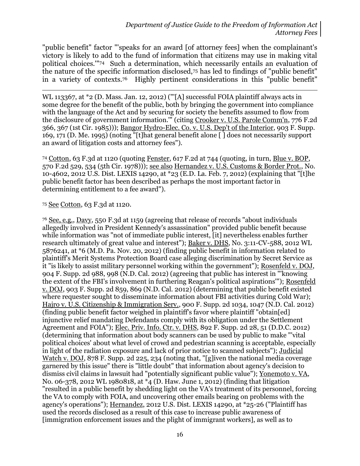"public benefit" factor "'speaks for an award [of attorney fees] when the complainant's victory is likely to add to the fund of information that citizens may use in making vital political choices.'" <sup>74</sup> Such a determination, which necessarily entails an evaluation of the nature of the specific information disclosed,<sup>75</sup> has led to findings of "public benefit" in a variety of contexts.76 Highly pertinent considerations in this "public benefit"

WL 113367, at \*2 (D. Mass. Jan. 12, 2012) ("[A] successful FOIA plaintiff always acts in some degree for the benefit of the public, both by bringing the government into compliance with the language of the Act and by securing for society the benefits assumed to flow from the disclosure of government information.'" (citing Crooker v. U.S. Parole Comm'n, 776 F.2d 366, 367 (1st Cir. 1985))); Bangor Hydro-Elec. Co. v. U.S. Dep't of the Interior, 903 F. Supp. 169, 171 (D. Me. 1995) (noting "[t]hat general benefit alone [ ] does not necessarily support an award of litigation costs and attorney fees").

<sup>74</sup> Cotton, 63 F.3d at 1120 (quoting Fenster, 617 F.2d at 744 (quoting, in turn, Blue v. BOP, 570 F.2d 529, 534 (5th Cir. 1978))); see also Hernandez v. U.S. Customs & Border Prot., No. 10-4602, 2012 U.S. Dist. LEXIS 14290, at \*23 (E.D. La. Feb. 7, 2012) (explaining that "[t]he public benefit factor has been described as perhaps the most important factor in determining entitlement to a fee award").

<sup>75</sup> See Cotton, 63 F.3d at 1120.

 $\overline{a}$ 

<sup>76</sup> See, e.g., Davy, 550 F.3d at 1159 (agreeing that release of records "about individuals allegedly involved in President Kennedy's assassination" provided public benefit because while information was "not of immediate public interest, [it] nevertheless enables further research ultimately of great value and interest"); Baker v. DHS, No. 3:11-CV-588, 2012 WL 5876241, at \*6 (M.D. Pa. Nov. 20, 2012) (finding public benefit in information related to plaintiff's Merit Systems Protection Board case alleging discrimination by Secret Service as it "is likely to assist military personnel working within the government"); Rosenfeld v. DOJ, 904 F. Supp. 2d 988, 998 (N.D. Cal. 2012) (agreeing that public has interest in "'knowing the extent of the FBI's involvement in furthering Reagan's political aspirations'"); Rosenfeld v. DOJ, 903 F. Supp. 2d 859, 869 (N.D. Cal. 2012) (determining that public benefit existed where requester sought to disseminate information about FBI activities during Cold War); Hajro v. U.S. Citizenship & Immigration Serv., 900 F. Supp. 2d 1034, 1047 (N.D. Cal. 2012) (finding public benefit factor weighed in plaintiff's favor where plaintiff "obtain[ed] injunctive relief mandating Defendants comply with its obligation under the Settlement Agreement and FOIA"); Elec. Priv. Info. Ctr. v. DHS, 892 F. Supp. 2d 28, 51 (D.D.C. 2012) (determining that information about body scanners can be used by public to make "'vital political choices' about what level of crowd and pedestrian scanning is acceptable, especially in light of the radiation exposure and lack of prior notice to scanned subjects"); Judicial Watch v. DOJ, 878 F. Supp. 2d 225, 234 (noting that, "[g]iven the national media coverage garnered by this issue" there is "little doubt" that information about agency's decision to dismiss civil claims in lawsuit had "potentially significant public value"); Yonemoto v. VA, No. 06-378, 2012 WL 1980818, at \*4 (D. Haw. June 1, 2012) (finding that litigation "resulted in a public benefit by shedding light on the VA's treatment of its personnel, forcing the VA to comply with FOIA, and uncovering other emails bearing on problems with the agency's operations"); Hernandez, 2012 U.S. Dist. LEXIS 14290, at \*25-26 ("Plaintiff has used the records disclosed as a result of this case to increase public awareness of [immigration enforcement issues and the plight of immigrant workers], as well as to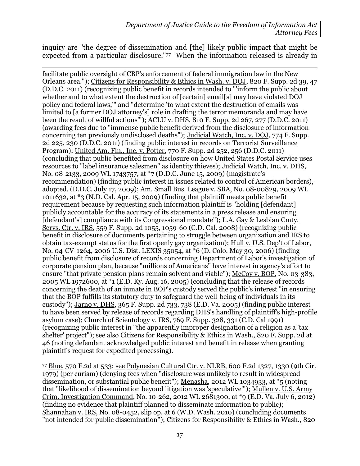inquiry are "the degree of dissemination and [the] likely public impact that might be expected from a particular disclosure."77 When the information released is already in

 $\overline{a}$ facilitate public oversight of CBP's enforcement of federal immigration law in the New Orleans area."); Citizens for Responsibility & Ethics in Wash. v. DOJ, 820 F. Supp. 2d 39, 47 (D.D.C. 2011) (recognizing public benefit in records intended to "'inform the public about whether and to what extent the destruction of [certain] email[s] may have violated DOJ policy and federal laws,'" and "determine 'to what extent the destruction of emails was limited to [a former DOJ attorney's] role in drafting the terror memoranda and may have been the result of willful actions'"); ACLU v. DHS, 810 F. Supp. 2d 267, 277 (D.D.C. 2011) (awarding fees due to "immense public benefit derived from the disclosure of information concerning ten previously undisclosed deaths"); Judicial Watch, Inc. v. DOJ, 774 F. Supp. 2d 225, 230 (D.D.C. 2011) (finding public interest in records on Terrorist Surveillance Program); United Am. Fin., Inc. v. Potter, 770 F. Supp. 2d 252, 256 (D.D.C. 2011) (concluding that public benefited from disclosure on how United States Postal Service uses resources to "label insurance salesmen" as identity thieves); Judicial Watch, Inc. v. DHS, No. 08-2133, 2009 WL 1743757, at \*7 (D.D.C. June 15, 2009) (magistrate's recommendation) (finding public interest in issues related to control of American borders), adopted, (D.D.C. July 17, 2009); Am. Small Bus. League v. SBA, No. 08-00829, 2009 WL 1011632, at \*3 (N.D. Cal. Apr. 15, 2009) (finding that plaintiff meets public benefit requirement because by requesting such information plaintiff is "holding [defendant] publicly accountable for the accuracy of its statements in a press release and ensuring [defendant's] compliance with its Congressional mandate"); L.A. Gay & Lesbian Cmty. Servs. Ctr. v. IRS, 559 F. Supp. 2d 1055, 1059-60 (C.D. Cal. 2008) (recognizing public benefit in disclosure of documents pertaining to struggle between organization and IRS to obtain tax-exempt status for the first openly gay organization); Hull v. U.S. Dep't of Labor, No. 04-CV-1264, 2006 U.S. Dist. LEXIS 35054, at \*6 (D. Colo. May 30, 2006) (finding public benefit from disclosure of records concerning Department of Labor's investigation of corporate pension plan, because "millions of Americans" have interest in agency's effort to ensure "that private pension plans remain solvent and viable"); McCoy v. BOP, No. 03-383, 2005 WL 1972600, at \*1 (E.D. Ky. Aug. 16, 2005) (concluding that the release of records concerning the death of an inmate in BOP's custody served the public's interest "in ensuring that the BOP fulfills its statutory duty to safeguard the well-being of individuals in its custody"); Jarno v. DHS, 365 F. Supp. 2d 733, 738 (E.D. Va. 2005) (finding public interest to have been served by release of records regarding DHS's handling of plaintiff's high-profile asylum case); Church of Scientology v. IRS, 769 F. Supp. 328, 331 (C.D. Cal 1991) (recognizing public interest in "the apparently improper designation of a religion as a 'tax shelter' project"); see also Citizens for Responsibility & Ethics in Wash., 820 F. Supp. 2d at 46 (noting defendant acknowledged public interest and benefit in release when granting plaintiff's request for expedited processing).

<sup>77</sup> Blue, 570 F.2d at 533; see Polynesian Cultural Ctr. v. NLRB, 600 F.2d 1327, 1330 (9th Cir. 1979) (per curiam) (denying fees when "disclosure was unlikely to result in widespread dissemination, or substantial public benefit"); Menasha, 2012 WL 1034933, at \*5 (noting that "likelihood of dissemination beyond litigation was 'speculative'"); Mullen v. U.S. Army Crim. Investigation Command, No. 10-262, 2012 WL 2681300, at \*9 (E.D. Va. July 6, 2012) (finding no evidence that plaintiff planned to disseminate information to public); Shannahan v. IRS, No. 08-0452, slip op. at 6 (W.D. Wash. 2010) (concluding documents "not intended for public dissemination"); Citizens for Responsibility & Ethics in Wash., 820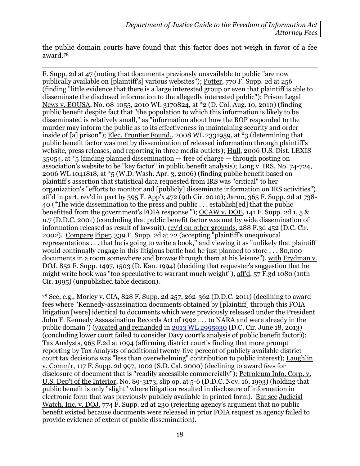the public domain courts have found that this factor does not weigh in favor of a fee award.<sup>78</sup>

 $\overline{a}$ 

F. Supp. 2d at 47 (noting that documents previously unavailable to public "are now publically available on [plaintiff's] various websites"); Potter, 770 F. Supp. 2d at 256 (finding "little evidence that there is a large interested group or even that plaintiff is able to disseminate the disclosed information to the allegedly interested public"); Prison Legal News v. EOUSA, No. 08-1055, 2010 WL 3170824, at \*2 (D. Col. Aug. 10, 2010) (finding public benefit despite fact that "the population to which this information is likely to be disseminated is relatively small," as "information about how the BOP responded to the murder may inform the public as to its effectiveness in maintaining security and order inside of [a] prison"); Elec. Frontier Found., 2008 WL 2331959, at \*3 (determining that public benefit factor was met by dissemination of released information through plaintiff's website, press releases, and reporting in three media outlets); Hull, 2006 U.S. Dist. LEXIS 35054, at  $*$ 5 (finding planned dissemination  $-$  free of charge  $-$  through posting on association's website to be "key factor" in public benefit analysis); Long v. IRS, No. 74-724, 2006 WL 1041818, at \*5 (W.D. Wash. Apr. 3, 2006) (finding public benefit based on plaintiff's assertion that statistical data requested from IRS was "critical" to her organization's "efforts to monitor and [publicly] disseminate information on IRS activities") aff'd in part, rev'd in part by 395 F. App'x 472 (9th Cir. 2010); Jarno, 365 F. Supp. 2d at 738- 40 ("The wide dissemination to the press and public . . . establish[ed] that the public benefitted from the government's FOIA response."); OCAW v. DOE, 141 F. Supp. 2d 1, 5 & n.7 (D.D.C. 2001) (concluding that public benefit factor was met by wide dissemination of information released as result of lawsuit), rev'd on other grounds, 288 F.3d 452 (D.C. Cir. 2002). Compare Piper, 339 F. Supp. 2d at 22 (accepting "plaintiff's unequivocal representations . . . that he is going to write a book," and viewing it as "unlikely that plaintiff would continually engage in this litigious battle had he just planned to store . . . 80,000 documents in a room somewhere and browse through them at his leisure"), with Frydman v. DOJ, 852 F. Supp. 1497, 1503 (D. Kan. 1994) (deciding that requester's suggestion that he might write book was "too speculative to warrant much weight"), aff'd, 57 F.3d 1080 (10th Cir. 1995) (unpublished table decision).

<sup>78</sup> See, e.g., Morley v. CIA, 828 F. Supp. 2d 257, 262-362 (D.D.C. 2011) (declining to award fees where "Kennedy-assassination documents obtained by [plaintiff] through this FOIA litigation [were] identical to documents which were previously released under the President John F. Kennedy Assassination Records Act of 1992 . . . to NARA and were already in the public domain") (vacated and remanded in [2013 WL 2995930](http://blogs.justice.gov/court-decisions/archives/686) (D.C. Cir. June 18, 2013) (concluding lower court failed to consider Davy court's analysis of public benefit factor)); Tax Analysts, 965 F.2d at 1094 (affirming district court's finding that more prompt reporting by Tax Analysts of additional twenty-five percent of publicly available district court tax decisions was "less than overwhelming" contribution to public interest); Laughlin v. Comm'r, 117 F. Supp. 2d 997, 1002 (S.D. Cal. 2000) (declining to award fees for disclosure of document that is "readily accessible commercially"); Petroleum Info. Corp. v. U.S. Dep't of the Interior, No. 89-3173, slip op. at 5-6 (D.D.C. Nov. 16, 1993) (holding that public benefit is only "slight" where litigation resulted in disclosure of information in electronic form that was previously publicly available in printed form). But see Judicial Watch, Inc. v. DOJ, 774 F. Supp. 2d at 230 (rejecting agency's argument that no public benefit existed because documents were released in prior FOIA request as agency failed to provide evidence of extent of public dissemination).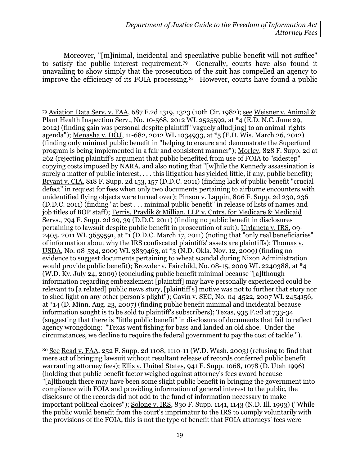Moreover, "[m]inimal, incidental and speculative public benefit will not suffice" to satisfy the public interest requirement.79 Generally, courts have also found it unavailing to show simply that the prosecution of the suit has compelled an agency to improve the efficiency of its FOIA processing.80 However, courts have found a public

 $\overline{a}$ 

<sup>79</sup> Aviation Data Serv. v. FAA, 687 F.2d 1319, 1323 (10th Cir. 1982); see Weisner v. Animal & Plant Health Inspection Serv., No. 10-568, 2012 WL 2525592, at \*4 (E.D. N.C. June 29, 2012) (finding gain was personal despite plaintiff "vaguely allud[ing] to an animal-rights agenda"); Menasha v. DOJ, 11-682, 2012 WL 1034933, at \*5 (E.D. Wis. March 26, 2012) (finding only minimal public benefit in "helping to ensure and demonstrate the Superfund program is being implemented in a fair and consistent manner"); Morley, 828 F. Supp. 2d at 262 (rejecting plaintiff's argument that public benefited from use of FOIA to "sidestep" copying costs imposed by NARA, and also noting that "[w]hile the Kennedy assassination is surely a matter of public interest, ... this litigation has yielded little, if any, public benefit); Bryant v. CIA, 818 F. Supp. 2d 153, 157 (D.D.C. 2011) (finding lack of public benefit "crucial defect" in request for fees when only two documents pertaining to airborne encounters with unidentified flying objects were turned over); Pinson v. Lappin, 806 F. Supp. 2d 230, 236 (D.D.C. 2011) (finding "at best . . . minimal public benefit" in release of lists of names and job titles of BOP staff); Terris, Pravlik & Millian, LLP v. Cntrs. for Medicare & Medicaid Servs., 794 F. Supp. 2d 29, 39 (D.D.C. 2011) (finding no public benefit in disclosures pertaining to lawsuit despite public benefit in prosecution of suit); Urdaneta v. IRS, 09- 2405, 2011 WL 3659591, at \*1 (D.D.C. March 17, 2011) (noting that "only real beneficiaries" of information about why the IRS confiscated plaintiffs' assets are plaintiffs); Thomas v. USDA, No. 08-534, 2009 WL 3839463, at \*3 (N.D. Okla. Nov. 12, 2009) (finding no evidence to suggest documents pertaining to wheat scandal during Nixon Administration would provide public benefit); Browder v. Fairchild, No. 08-15, 2009 WL 2240388, at \*4 (W.D. Ky. July 24, 2009) (concluding public benefit minimal because "[a]lthough information regarding embezzlement [plaintiff] may have personally experienced could be relevant to [a related] public news story, [plaintiff's] motive was not to further that story nor to shed light on any other person's plight"); Gavin v. SEC, No. 04-4522, 2007 WL 2454156, at \*14 (D. Minn. Aug. 23, 2007) (finding public benefit minimal and incidental because information sought is to be sold to plaintiff's subscribers); Texas, 935 F.2d at 733-34 (suggesting that there is "little public benefit" in disclosure of documents that fail to reflect agency wrongdoing: "Texas went fishing for bass and landed an old shoe. Under the circumstances, we decline to require the federal government to pay the cost of tackle.").

<sup>80</sup> See Read v. FAA, 252 F. Supp. 2d 1108, 1110-11 (W.D. Wash. 2003) (refusing to find that mere act of bringing lawsuit without resultant release of records conferred public benefit warranting attorney fees); Ellis v. United States, 941 F. Supp. 1068, 1078 (D. Utah 1996) (holding that public benefit factor weighed against attorney's fees award because "[a]lthough there may have been some slight public benefit in bringing the government into compliance with FOIA and providing information of general interest to the public, the disclosure of the records did not add to the fund of information necessary to make important political choices"); Solone v. IRS, 830 F. Supp. 1141, 1143 (N.D. Ill. 1993) ("While the public would benefit from the court's imprimatur to the IRS to comply voluntarily with the provisions of the FOIA, this is not the type of benefit that FOIA attorneys' fees were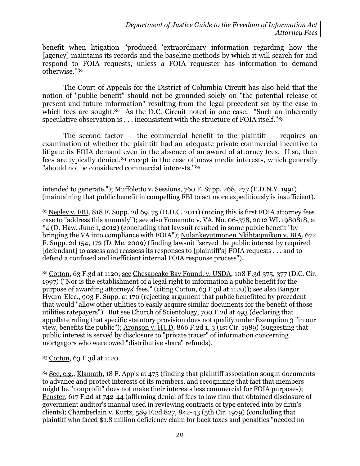benefit when litigation "produced 'extraordinary information regarding how the [agency] maintains its records and the baseline methods by which it will search for and respond to FOIA requests, unless a FOIA requester has information to demand otherwise.'"<sup>81</sup>

The Court of Appeals for the District of Columbia Circuit has also held that the notion of "public benefit" should not be grounded solely on "the potential release of present and future information" resulting from the legal precedent set by the case in which fees are sought. $82$  As the D.C. Circuit noted in one case: "Such an inherently speculative observation is . . . inconsistent with the structure of FOIA itself."<sup>83</sup>

The second factor  $-$  the commercial benefit to the plaintiff  $-$  requires an examination of whether the plaintiff had an adequate private commercial incentive to litigate its FOIA demand even in the absence of an award of attorney fees. If so, then fees are typically denied,<sup>84</sup> except in the case of news media interests, which generally "should not be considered commercial interests."<sup>85</sup>

 $\overline{a}$ intended to generate."); Muffoletto v. Sessions, 760 F. Supp. 268, 277 (E.D.N.Y. 1991) (maintaining that public benefit in compelling FBI to act more expeditiously is insufficient).

<sup>81</sup> Negley v. FBI, 818 F. Supp. 2d 69, 75 (D.D.C. 2011) (noting this is first FOIA attorney fees case to "address this anomaly"); see also Yonemoto v. VA, No. 06-378, 2012 WL 1980818, at \*4 (D. Haw. June 1, 2012) (concluding that lawsuit resulted in some public benefit "by bringing the VA into compliance with FOIA"); Nulankeyutmonen Nkihtaqmikon v. BIA, 672 F. Supp. 2d 154, 172 (D. Me. 2009) (finding lawsuit "served the public interest by required [defendant] to assess and reassess its responses to [plaintiff's] FOIA requests . . . and to defend a confused and inefficient internal FOIA response process").

82 Cotton, 63 F.3d at 1120; see Chesapeake Bay Found. v. USDA, 108 F.3d 375, 377 (D.C. Cir. 1997) ("Nor is the establishment of a legal right to information a public benefit for the purpose of awarding attorneys' fees." (citing Cotton, 63 F.3d at 1120)); see also Bangor Hydro-Elec., 903 F. Supp. at 170 (rejecting argument that public benefitted by precedent that would "allow other utilities to easily acquire similar documents for the benefit of those utilities ratepayers"). But see Church of Scientology, 700 F.2d at 493 (declaring that appellate ruling that specific statutory provision does not qualify under Exemption 3 "in our view, benefits the public"); Aronson v. HUD, 866 F.2d 1, 3 (1st Cir. 1989) (suggesting that public interest is served by disclosure to "private tracer" of information concerning mortgagors who were owed "distributive share" refunds).

<sup>83</sup> Cotton, 63 F.3d at 1120.

<sup>84</sup> See, e.g., Klamath, 18 F. App'x at 475 (finding that plaintiff association sought documents to advance and protect interests of its members, and recognizing that fact that members might be "nonprofit" does not make their interests less commercial for FOIA purposes); Fenster, 617 F.2d at 742-44 (affirming denial of fees to law firm that obtained disclosure of government auditor's manual used in reviewing contracts of type entered into by firm's clients); Chamberlain v. Kurtz, 589 F.2d 827, 842-43 (5th Cir. 1979) (concluding that plaintiff who faced \$1.8 million deficiency claim for back taxes and penalties "needed no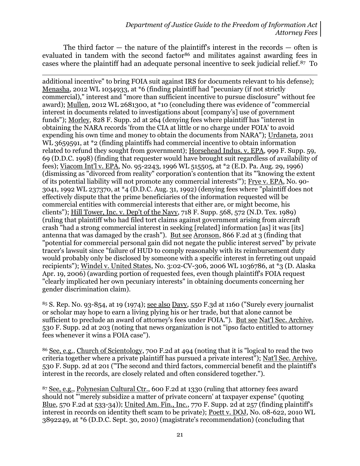The third factor  $-$  the nature of the plaintiff's interest in the records  $-$  often is evaluated in tandem with the second factor<sup>86</sup> and militates against awarding fees in cases where the plaintiff had an adequate personal incentive to seek judicial relief.87 To

 $\overline{a}$ additional incentive" to bring FOIA suit against IRS for documents relevant to his defense); Menasha, 2012 WL 1034933, at \*6 (finding plaintiff had "pecuniary (if not strictly commercial)," interest and "more than sufficient incentive to pursue disclosure" without fee award); Mullen, 2012 WL 2681300, at \*10 (concluding there was evidence of "commercial interest in documents related to investigations about [company's] use of government funds"); Morley, 828 F. Supp. 2d at 264 (denying fees where plaintiff has "interest in obtaining the NARA records 'from the CIA at little or no charge under FOIA' to avoid expending his own time and money to obtain the documents from NARA"); Urdaneta, 2011 WL 3659591, at \*2 (finding plaintiffs had commercial incentive to obtain information related to refund they sought from government); Horsehead Indus. v. EPA, 999 F. Supp. 59, 69 (D.D.C. 1998) (finding that requester would have brought suit regardless of availability of fees); Viacom Int'l v. EPA, No. 95-2243, 1996 WL 515505, at \*2 (E.D. Pa. Aug. 29, 1996) (dismissing as "divorced from reality" corporation's contention that its "'knowing the extent of its potential liability will not promote any commercial interests'"); Frye v. EPA, No. 90- 3041, 1992 WL 237370, at \*4 (D.D.C. Aug. 31, 1992) (denying fees where "plaintiff does not effectively dispute that the prime beneficiaries of the information requested will be commercial entities with commercial interests that either are, or might become, his clients"); Hill Tower, Inc. v. Dep't of the Navy, 718 F. Supp. 568, 572 (N.D. Tex. 1989) (ruling that plaintiff who had filed tort claims against government arising from aircraft crash "had a strong commercial interest in seeking [related] information [as] it was [its] antenna that was damaged by the crash"). But see Aronson, 866 F.2d at 3 (finding that "potential for commercial personal gain did not negate the public interest served" by private tracer's lawsuit since "failure of HUD to comply reasonably with its reimbursement duty would probably only be disclosed by someone with a specific interest in ferreting out unpaid recipients"); Windel v. United States, No. 3:02-CV-306, 2006 WL 1036786, at \*3 (D. Alaska Apr. 19, 2006) (awarding portion of requested fees, even though plaintiff's FOIA request "clearly implicated her own pecuniary interests" in obtaining documents concerning her gender discrimination claim).

<sup>85</sup> S. Rep. No. 93-854, at 19 (1974); see also Davy, 550 F.3d at 1160 ("Surely every journalist or scholar may hope to earn a living plying his or her trade, but that alone cannot be sufficient to preclude an award of attorney's fees under FOIA."). But see Nat'l Sec. Archive, 530 F. Supp. 2d at 203 (noting that news organization is not "ipso facto entitled to attorney fees whenever it wins a FOIA case").

<sup>86</sup> See, e.g., Church of Scientology, 700 F.2d at 494 (noting that it is "logical to read the two criteria together where a private plaintiff has pursued a private interest"); Nat'l Sec. Archive, 530 F. Supp. 2d at 201 ("The second and third factors, commercial benefit and the plaintiff's interest in the records, are closely related and often considered together.").

<sup>87</sup> See, e.g., Polynesian Cultural Ctr., 600 F.2d at 1330 (ruling that attorney fees award should not "'merely subsidize a matter of private concern' at taxpayer expense" (quoting Blue, 570 F.2d at 533-34)); United Am. Fin., Inc., 770 F. Supp. 2d at 257 (finding plaintiff's interest in records on identity theft scam to be private); Poett v. DOJ, No. 08-622, 2010 WL 3892249, at \*6 (D.D.C. Sept. 30, 2010) (magistrate's recommendation) (concluding that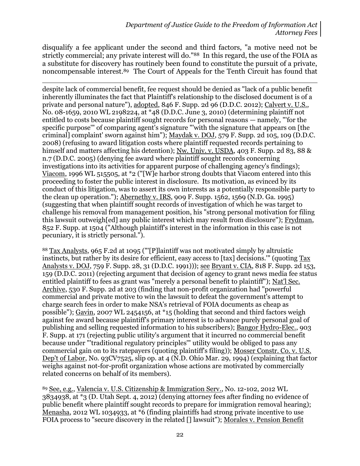disqualify a fee applicant under the second and third factors, "a motive need not be strictly commercial; any private interest will do."88 In this regard, the use of the FOIA as a substitute for discovery has routinely been found to constitute the pursuit of a private, noncompensable interest.89 The Court of Appeals for the Tenth Circuit has found that

 $\overline{a}$ despite lack of commercial benefit, fee request should be denied as "lack of a public benefit inherently illuminates the fact that Plaintiff's relationship to the disclosed document is of a private and personal nature"), adopted, 846 F. Supp. 2d 96 (D.D.C. 2012); Calvert v. U.S., No. 08-1659, 2010 WL 2198224, at \*48 (D.D.C. June 3, 2010) (determining plaintiff not entitled to costs because plaintiff sought records for personal reasons — namely, "'for the specific purpose'" of comparing agent's signature "'with the signature that appears on [the criminal] complaint' sworn against him"); Maydak v. DOJ, 579 F. Supp. 2d 105, 109 (D.D.C. 2008) (refusing to award litigation costs where plaintiff requested records pertaining to himself and matters affecting his detention); Nw. Univ. v. USDA, 403 F. Supp. 2d 83, 88 & n.7 (D.D.C. 2005) (denying fee award where plaintiff sought records concerning investigations into its activities for apparent purpose of challenging agency's findings); Viacom, 1996 WL 515505, at \*2 ("[W]e harbor strong doubts that Viacom entered into this proceeding to foster the public interest in disclosure. Its motivation, as evinced by its conduct of this litigation, was to assert its own interests as a potentially responsible party to the clean up operation."); Abernethy v. IRS, 909 F. Supp. 1562, 1569 (N.D. Ga. 1995) (suggesting that when plaintiff sought records of investigation of which he was target to challenge his removal from management position, his "strong personal motivation for filing this lawsuit outweigh[ed] any public interest which may result from disclosure"); Frydman, 852 F. Supp. at 1504 ("Although plaintiff's interest in the information in this case is not pecuniary, it is strictly personal.").

<sup>88</sup> Tax Analysts, 965 F.2d at 1095 ("'[P]laintiff was not motivated simply by altruistic instincts, but rather by its desire for efficient, easy access to [tax] decisions." (quoting Tax Analysts v. DOJ, 759 F. Supp. 28, 31 (D.D.C. 1991))); see Bryant v. CIA, 818 F. Supp. 2d 153, 159 (D.D.C. 2011) (rejecting argument that decision of agency to grant news media fee status entitled plaintiff to fees as grant was "merely a personal benefit to plaintiff"); Nat'l Sec. Archive, 530 F. Supp. 2d at 203 (finding that non-profit organization had "powerful commercial and private motive to win the lawsuit to defeat the government's attempt to charge search fees in order to make NSA's retrieval of FOIA documents as cheap as possible"); Gavin, 2007 WL 2454156, at \*15 (holding that second and third factors weigh against fee award because plaintiff's primary interest is to advance purely personal goal of publishing and selling requested information to his subscribers); Bangor Hydro-Elec., 903 F. Supp. at 171 (rejecting public utility's argument that it incurred no commercial benefit because under "'traditional regulatory principles'" utility would be obliged to pass any commercial gain on to its ratepayers (quoting plaintiff's filing)); Mosser Constr. Co. v. U.S. Dep't of Labor, No. 93CV7525, slip op. at 4 (N.D. Ohio Mar. 29, 1994) (explaining that factor weighs against not-for-profit organization whose actions are motivated by commercially related concerns on behalf of its members).

<sup>89</sup> See, e.g., Valencia v. U.S. Citizenship & Immigration Serv., No. 12-102, 2012 WL 3834938, at \*3 (D. Utah Sept. 4, 2012) (denying attorney fees after finding no evidence of public benefit where plaintiff sought records to prepare for immigration removal hearing); Menasha, 2012 WL 1034933, at \*6 (finding plaintiffs had strong private incentive to use FOIA process to "secure discovery in the related [] lawsuit"); Morales v. Pension Benefit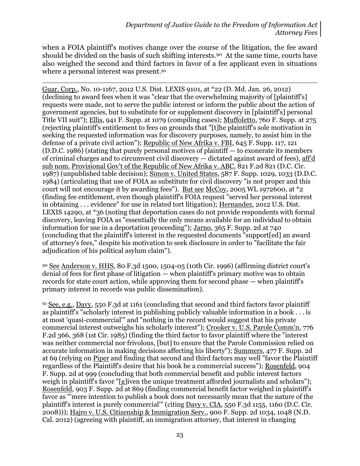when a FOIA plaintiff's motives change over the course of the litigation, the fee award should be divided on the basis of such shifting interests.90 At the same time, courts have also weighed the second and third factors in favor of a fee applicant even in situations where a personal interest was present.<sup>91</sup>

 $\overline{a}$ Guar. Corp., No. 10-1167, 2012 U.S. Dist. LEXIS 9101, at \*22 (D. Md. Jan. 26, 2012) (declining to award fees when it was "clear that the overwhelming majority of [plaintiff's] requests were made, not to serve the public interest or inform the public about the action of government agencies, but to substitute for or supplement discovery in [plaintiff's] personal Title VII suit"); Ellis, 941 F. Supp. at 1079 (compiling cases); Muffoletto, 760 F. Supp. at 275 (rejecting plaintiff's entitlement to fees on grounds that "[t]he plaintiff's sole motivation in seeking the requested information was for discovery purposes, namely, to assist him in the defense of a private civil action"); Republic of New Afrika v. FBI, 645 F. Supp. 117, 121 (D.D.C. 1986) (stating that purely personal motives of plaintiff — to exonerate its members of criminal charges and to circumvent civil discovery — dictated against award of fees), aff'd sub nom. Provisional Gov't of the Republic of New Afrika v. ABC, 821 F.2d 821 (D.C. Cir. 1987) (unpublished table decision); Simon v. United States, 587 F. Supp. 1029, 1033 (D.D.C. 1984) (articulating that use of FOIA as substitute for civil discovery "is not proper and this court will not encourage it by awarding fees"). But see McCoy, 2005 WL 1972600, at  $*2$ (finding fee entitlement, even though plaintiff's FOIA request "served her personal interest in obtaining . . . evidence" for use in related tort litigation); Hernandez, 2012 U.S. Dist. LEXIS 14290, at \*36 (noting that deportation cases do not provide respondents with formal discovery, leaving FOIA as "essentially the only means available for an individual to obtain information for use in a deportation proceeding"); Jarno, 365 F. Supp. 2d at 740 (concluding that the plaintiff's interest in the requested documents "support[ed] an award of attorney's fees," despite his motivation to seek disclosure in order to "facilitate the fair adjudication of his political asylum claim").

<sup>90</sup> See Anderson v. HHS, 80 F.3d 1500, 1504-05 (10th Cir. 1996) (affirming district court's denial of fees for first phase of litigation — when plaintiff's primary motive was to obtain records for state court action, while approving them for second phase — when plaintiff's primary interest in records was public dissemination).

91 See, e.g., Davy, 550 F.3d at 1161 (concluding that second and third factors favor plaintiff as plaintiff's "scholarly interest in publishing publicly valuable information in a book . . . is at most 'quasi-commercial'" and "nothing in the record would suggest that his private commercial interest outweighs his scholarly interest"); Crooker v. U.S. Parole Comm'n, 776 F.2d 366, 368 (1st Cir. 1985) (finding the third factor to favor plaintiff where the "interest was neither commercial nor frivolous, [but] to ensure that the Parole Commission relied on accurate information in making decisions affecting his liberty"); Summers, 477 F. Supp. 2d at 69 (relying on Piper and finding that second and third factors may well "favor the Plaintiff regardless of the Plaintiff's desire that his book be a commercial success"); Rosenfeld, 904 F. Supp. 2d at 999 (concluding that both commercial benefit and public interest factors weigh in plaintiff's favor "[g]iven the unique treatment afforded journalists and scholars"); Rosenfeld, 903 F. Supp. 2d at 869 (finding commercial benefit factor weighed in plaintiff's favor as "'mere intention to publish a book does not necessarily mean that the nature of the plaintiff's interest is purely commercial'" (citing Davy v. CIA, 550 F.3d 1155, 1160 (D.C. Cir. 2008))); Hajro v. U.S. Citizenship & Immigration Serv., 900 F. Supp. 2d 1034, 1048 (N.D. Cal. 2012) (agreeing with plaintiff, an immigration attorney, that interest in changing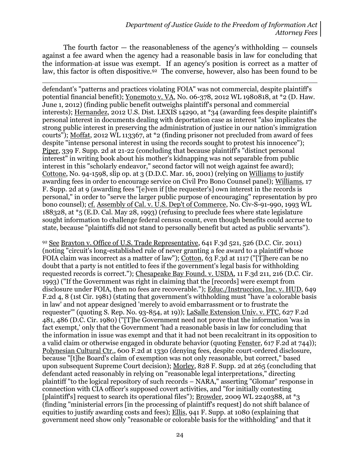The fourth factor  $-$  the reasonableness of the agency's withholding  $-$  counsels against a fee award when the agency had a reasonable basis in law for concluding that the information at issue was exempt. If an agency's position is correct as a matter of law, this factor is often dispositive.<sup>92</sup> The converse, however, also has been found to be

 $\overline{a}$ defendant's "patterns and practices violating FOIA" was not commercial, despite plaintiff's potential financial benefit); Yonemoto v. VA, No. 06-378, 2012 WL 1980818, at \*2 (D. Haw. June 1, 2012) (finding public benefit outweighs plaintiff's personal and commercial interests); Hernandez, 2012 U.S. Dist. LEXIS 14290, at \*34 (awarding fees despite plaintiff's personal interest in documents dealing with deportation case as interest "also implicates the strong public interest in preserving the administration of justice in our nation's immigration courts"); Moffat, 2012 WL 113367, at \*2 (finding prisoner not precluded from award of fees despite "intense personal interest in using the records sought to protest his innocence"); Piper, 339 F. Supp. 2d at 21-22 (concluding that because plaintiff's "distinct personal interest" in writing book about his mother's kidnapping was not separable from public interest in this "scholarly endeavor," second factor will not weigh against fee award); Cottone, No. 94-1598, slip op. at 3 (D.D.C. Mar. 16, 2001) (relying on Williams to justify awarding fees in order to encourage service on Civil Pro Bono Counsel panel); Williams, 17 F. Supp. 2d at 9 (awarding fees "[e]ven if [the requester's] own interest in the records is personal," in order to "serve the larger public purpose of encouraging" representation by pro bono counsel); cf. Assembly of Cal. v. U.S. Dep't of Commerce, No. Civ-S-91-990, 1993 WL 188328, at \*5 (E.D. Cal. May 28, 1993) (refusing to preclude fees where state legislature sought information to challenge federal census count, even though benefits could accrue to state, because "plaintiffs did not stand to personally benefit but acted as public servants").

<sup>92</sup> See Brayton v. Office of U.S. Trade Representative, 641 F.3d 521, 526 (D.C. Cir. 2011) (noting "circuit's long-established rule of never granting a fee award to a plaintiff whose FOIA claim was incorrect as a matter of law"); Cotton, 63 F.3d at 1117 ("[T]here can be no doubt that a party is not entitled to fees if the government's legal basis for withholding requested records is correct."); Chesapeake Bay Found. v. USDA, 11 F.3d 211, 216 (D.C. Cir. 1993) ("If the Government was right in claiming that the [records] were exempt from disclosure under FOIA, then no fees are recoverable."); Educ./Instruccion, Inc. v. HUD, 649 F.2d 4, 8 (1st Cir. 1981) (stating that government's withholding must "have 'a colorable basis in law' and not appear designed 'merely to avoid embarrassment or to frustrate the requester'" (quoting S. Rep. No. 93-854, at 19)); LaSalle Extension Univ. v. FTC, 627 F.2d 481, 486 (D.C. Cir. 1980) ("[T]he Government need not prove that the information 'was in fact exempt,' only that the Government 'had a reasonable basis in law for concluding that the information in issue was exempt and that it had not been recalcitrant in its opposition to a valid claim or otherwise engaged in obdurate behavior (quoting Fenster, 617 F.2d at 744)); Polynesian Cultural Ctr., 600 F.2d at 1330 (denying fees, despite court-ordered disclosure, because "[t]he Board's claim of exemption was not only reasonable, but correct," based upon subsequent Supreme Court decision); Morley, 828 F. Supp. 2d at 265 (concluding that defendant acted reasonably in relying on "reasonable legal interpretations," directing plaintiff "to the logical repository of such records – NARA," asserting "Glomar" response in connection with CIA officer's supposed covert activities, and "for initially contesting [plaintiff's] request to search its operational files"); <u>Browder</u>, 2009 WL 2240388, at \*3 (finding "ministerial errors [in the processing of plaintiff's request] do not shift balance of equities to justify awarding costs and fees); Ellis, 941 F. Supp. at 1080 (explaining that government need show only "reasonable or colorable basis for the withholding" and that it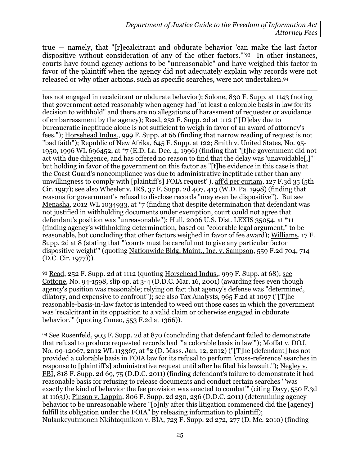true — namely, that "[r]ecalcitrant and obdurate behavior 'can make the last factor dispositive without consideration of any of the other factors.'"93 In other instances, courts have found agency actions to be "unreasonable" and have weighed this factor in favor of the plaintiff when the agency did not adequately explain why records were not released or why other actions, such as specific searches, were not undertaken. <sup>94</sup>

 $\overline{a}$ has not engaged in recalcitrant or obdurate behavior); Solone, 830 F. Supp. at 1143 (noting that government acted reasonably when agency had "at least a colorable basis in law for its decision to withhold" and there are no allegations of harassment of requester or avoidance of embarrassment by the agency); Read, 252 F. Supp. 2d at 1112 ("[D]elay due to bureaucratic ineptitude alone is not sufficient to weigh in favor of an award of attorney's fees."); Horsehead Indus., 999 F. Supp. at 66 (finding that narrow reading of request is not "bad faith"); Republic of New Afrika, 645 F. Supp. at 122; Smith v. United States, No. 95- 1950, 1996 WL 696452, at \*7 (E.D. La. Dec. 4, 1996) (finding that "[t]he government did not act with due diligence, and has offered no reason to find that the delay was 'unavoidable[,]'" but holding in favor of the government on this factor as "[t]he evidence in this case is that the Coast Guard's noncompliance was due to administrative ineptitude rather than any unwillingness to comply with [plaintiff's] FOIA request"), aff'd per curiam, 127 F.3d 35 (5th Cir. 1997); see also Wheeler v. IRS, 37 F. Supp. 2d 407, 413 (W.D. Pa. 1998) (finding that reasons for government's refusal to disclose records "may even be dispositive"). But see Menasha, 2012 WL 1034933, at \*7 (finding that despite determination that defendant was not justified in withholding documents under exemption, court could not agree that defendant's position was "unreasonable"); Hull, 2006 U.S. Dist. LEXIS 35054, at \*11 (finding agency's withholding determination, based on "colorable legal argument," to be reasonable, but concluding that other factors weighed in favor of fee award); Williams, 17 F. Supp. 2d at 8 (stating that "'courts must be careful not to give any particular factor dispositive weight'" (quoting Nationwide Bldg. Maint., Inc. v. Sampson, 559 F.2d 704, 714 (D.C. Cir. 1977))).

93 Read, 252 F. Supp. 2d at 1112 (quoting Horsehead Indus., 999 F. Supp. at  $68$ ); see Cottone, No. 94-1598, slip op. at 3-4 (D.D.C. Mar. 16, 2001) (awarding fees even though agency's position was reasonable; relying on fact that agency's defense was "determined, dilatory, and expensive to confront"); see also Tax Analysts, 965 F.2d at 1097 ("[T]he reasonable-basis-in-law factor is intended to weed out those cases in which the government was 'recalcitrant in its opposition to a valid claim or otherwise engaged in obdurate behavior.'" (quoting Cuneo, 553 F.2d at 1366)).

<sup>94</sup> See Rosenfeld, 903 F. Supp. 2d at 870 (concluding that defendant failed to demonstrate that refusal to produce requested records had "'a colorable basis in law'"); Moffat v. DOJ, No. 09-12067, 2012 WL 113367, at \*2 (D. Mass. Jan. 12, 2012) ("[T]he [defendant] has not provided a colorable basis in FOIA law for its refusal to perform 'cross-reference' searches in response to [plaintiff's] administrative request until after he filed his lawsuit."); Negley v. FBI, 818 F. Supp. 2d 69, 75 (D.D.C. 2011) (finding defendant's failure to demonstrate it had reasonable basis for refusing to release documents and conduct certain searches "'was exactly the kind of behavior the fee provision was enacted to combat'" (citing Davy, 550 F.3d at 1163)); Pinson v. Lappin, 806 F. Supp. 2d 230, 236 (D.D.C. 2011) (determining agency behavior to be unreasonable where "[o]nly after this litigation commenced did the [agency] fulfill its obligation under the FOIA" by releasing information to plaintiff); Nulankeyutmonen Nkihtaqmikon v. BIA, 723 F. Supp. 2d 272, 277 (D. Me. 2010) (finding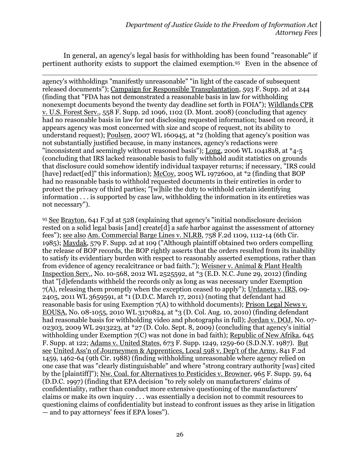In general, an agency's legal basis for withholding has been found "reasonable" if pertinent authority exists to support the claimed exemption.95 Even in the absence of

 $\overline{a}$ agency's withholdings "manifestly unreasonable" "in light of the cascade of subsequent released documents"); Campaign for Responsible Transplantation, 593 F. Supp. 2d at 244 (finding that "FDA has not demonstrated a reasonable basis in law for withholding nonexempt documents beyond the twenty day deadline set forth in FOIA"); Wildlands CPR v. U.S. Forest Serv., 558 F. Supp. 2d 1096, 1102 (D. Mont. 2008) (concluding that agency had no reasonable basis in law for not disclosing requested information; based on record, it appears agency was most concerned with size and scope of request, not its ability to understand request); <u>Poulsen</u>, 2007 WL 160945, at \*2 (holding that agency's position was not substantially justified because, in many instances, agency's redactions were "inconsistent and seemingly without reasoned basis"); Long, 2006 WL 1041818, at \*4-5 (concluding that IRS lacked reasonable basis to fully withhold audit statistics on grounds that disclosure could somehow identify individual taxpayer returns; if necessary, "IRS could [have] redact[ed]" this information); McCoy, 2005 WL 1972600, at \*2 (finding that BOP had no reasonable basis to withhold requested documents in their entireties in order to protect the privacy of third parties; "[w]hile the duty to withhold certain identifying information . . . is supported by case law, withholding the information in its entireties was not necessary").

<sup>95</sup> See Brayton, 641 F.3d at 528 (explaining that agency's "initial nondisclosure decision rested on a solid legal basis [and] create[d] a safe harbor against the assessment of attorney fees"); see also Am. Commercial Barge Lines v. NLRB, 758 F.2d 1109, 1112-14 (6th Cir. 1985); Maydak, 579 F. Supp. 2d at 109 ("Although plaintiff obtained two orders compelling the release of BOP records, the BOP rightly asserts that the orders resulted from its inability to satisfy its evidentiary burden with respect to reasonably asserted exemptions, rather than from evidence of agency recalcitrance or bad faith."); Weisner v. Animal & Plant Health Inspection Serv., No. 10-568, 2012 WL 2525592, at \*3 (E.D. N.C. June 29, 2012) (finding that "[d]efendants withheld the records only as long as was necessary under Exemption 7(A), releasing them promptly when the exception ceased to apply"); Urdaneta v. IRS, 09- 2405, 2011 WL 3659591, at \*1 (D.D.C. March 17, 2011) (noting that defendant had reasonable basis for using Exemption 7(A) to withhold documents); Prison Legal News v. EOUSA, No. 08-1055, 2010 WL 3170824, at \*3 (D. Col. Aug. 10, 2010) (finding defendant had reasonable basis for withholding video and photographs in full); Jordan v. DOJ, No. 07- 02303, 2009 WL 2913223, at \*27 (D. Colo. Sept. 8, 2009) (concluding that agency's initial withholding under Exemption 7(C) was not done in bad faith); Republic of New Afrika, 645 F. Supp. at 122; Adams v. United States, 673 F. Supp. 1249, 1259-60 (S.D.N.Y. 1987). But see United Ass'n of Journeymen & Apprentices, Local 598 v. Dep't of the Army, 841 F.2d 1459, 1462-64 (9th Cir. 1988) (finding withholding unreasonable where agency relied on one case that was "clearly distinguishable" and where "strong contrary authority [was] cited by the [plaintiff]"); Nw. Coal. for Alternatives to Pesticides v. Browner, 965 F. Supp. 59, 64 (D.D.C. 1997) (finding that EPA decision "to rely solely on manufacturers' claims of confidentiality, rather than conduct more extensive questioning of the manufacturers' claims or make its own inquiry . . . was essentially a decision not to commit resources to questioning claims of confidentiality but instead to confront issues as they arise in litigation — and to pay attorneys' fees if EPA loses").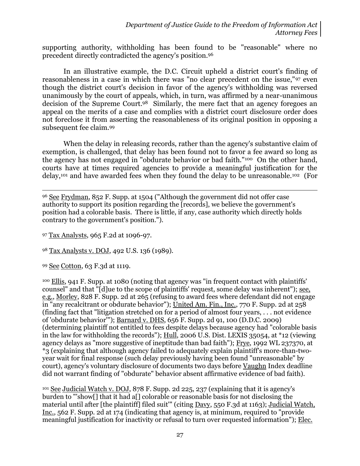supporting authority, withholding has been found to be "reasonable" where no precedent directly contradicted the agency's position.<sup>96</sup>

In an illustrative example, the D.C. Circuit upheld a district court's finding of reasonableness in a case in which there was "no clear precedent on the issue,"<sup>97</sup> even though the district court's decision in favor of the agency's withholding was reversed unanimously by the court of appeals, which, in turn, was affirmed by a near-unanimous decision of the Supreme Court.98 Similarly, the mere fact that an agency foregoes an appeal on the merits of a case and complies with a district court disclosure order does not foreclose it from asserting the reasonableness of its original position in opposing a subsequent fee claim.<sup>99</sup>

When the delay in releasing records, rather than the agency's substantive claim of exemption, is challenged, that delay has been found not to favor a fee award so long as the agency has not engaged in "obdurate behavior or bad faith."100 On the other hand, courts have at times required agencies to provide a meaningful justification for the delay,<sup>101</sup> and have awarded fees when they found the delay to be unreasonable.102 (For

 $\overline{a}$ <sup>96</sup> See Frydman, 852 F. Supp. at 1504 ("Although the government did not offer case authority to support its position regarding the [records], we believe the government's position had a colorable basis. There is little, if any, case authority which directly holds contrary to the government's position.").

<sup>97</sup> Tax Analysts, 965 F.2d at 1096-97.

<sup>98</sup> Tax Analysts v. DOJ, 492 U.S. 136 (1989).

<sup>99</sup> See Cotton, 63 F.3d at 1119.

<sup>100</sup> Ellis, 941 F. Supp. at 1080 (noting that agency was "in frequent contact with plaintiffs' counsel" and that "[d]ue to the scope of plaintiffs' request, some delay was inherent"); see, e.g., Morley, 828 F. Supp. 2d at 265 (refusing to award fees where defendant did not engage in "any recalcitrant or obdurate behavior"); United Am. Fin., Inc., 770 F. Supp. 2d at 258 (finding fact that "litigation stretched on for a period of almost four years, . . . not evidence of 'obdurate behavior"'); Barnard v. DHS, 656 F. Supp. 2d 91, 100 (D.D.C. 2009) (determining plaintiff not entitled to fees despite delays because agency had "colorable basis in the law for withholding the records"); Hull, 2006 U.S. Dist. LEXIS 35054, at \*12 (viewing agency delays as "more suggestive of ineptitude than bad faith"); Frye, 1992 WL 237370, at \*3 (explaining that although agency failed to adequately explain plaintiff's more-than-twoyear wait for final response (such delay previously having been found "unreasonable" by court), agency's voluntary disclosure of documents two days before Vaughn Index deadline did not warrant finding of "obdurate" behavior absent affirmative evidence of bad faith).

<sup>101</sup> See Judicial Watch v. DOJ, 878 F. Supp. 2d 225, 237 (explaining that it is agency's burden to "'show[] that it had a[] colorable or reasonable basis for not disclosing the material until after [the plaintiff] filed suit"' (citing Davy, 550 F.3d at 1163); Judicial Watch, Inc., 562 F. Supp. 2d at 174 (indicating that agency is, at minimum, required to "provide meaningful justification for inactivity or refusal to turn over requested information"); Elec.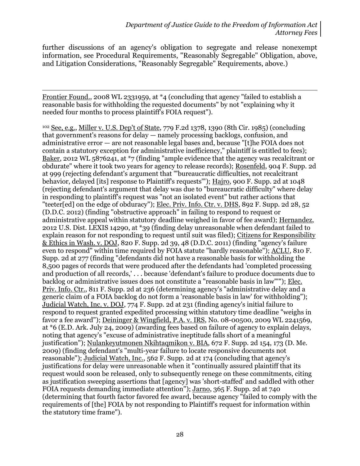further discussions of an agency's obligation to segregate and release nonexempt information, see Procedural Requirements, "Reasonably Segregable" Obligation, above, and Litigation Considerations, "Reasonably Segregable" Requirements, above.)

 $\overline{a}$ Frontier Found., 2008 WL 2331959, at \*4 (concluding that agency "failed to establish a reasonable basis for withholding the requested documents" by not "explaining why it needed four months to process plaintiff's FOIA request").

<sup>102</sup> See, e.g., Miller v. U.S. Dep't of State, 779 F.2d 1378, 1390 (8th Cir. 1985) (concluding that government's reasons for delay — namely processing backlogs, confusion, and administrative error — are not reasonable legal bases and, because "[t]he FOIA does not contain a statutory exception for administrative inefficiency," plaintiff is entitled to fees); Baker, 2012 WL  $5876241$ , at  $*7$  (finding "ample evidence that the agency was recalcitrant or obdurate" where it took two years for agency to release records); Rosenfeld, 904 F. Supp. 2d at 999 (rejecting defendant's argument that '"bureaucratic difficulties, not recalcitrant behavior, delayed [its] response to Plaintiff's requests"'); Hajro, 900 F. Supp. 2d at 1048 (rejecting defendant's argument that delay was due to "bureaucratic difficulty" where delay in responding to plaintiff's request was "not an isolated event" but rather actions that "teeter[ed] on the edge of obduracy"); Elec. Priv. Info. Ctr. v. DHS, 892 F. Supp. 2d 28, 52 (D.D.C. 2012) (finding "obstructive approach" in failing to respond to request or administrative appeal within statutory deadline weighed in favor of fee award); Hernandez, 2012 U.S. Dist. LEXIS 14290, at \*39 (finding delay unreasonable when defendant failed to explain reason for not responding to request until suit was filed); Citizens for Responsibility & Ethics in Wash. v. DOJ, 820 F. Supp. 2d 39, 48 (D.D.C. 2011) (finding "agency's failure even to respond" within time required by FOIA statute "hardly reasonable"); ACLU, 810 F. Supp. 2d at 277 (finding "defendants did not have a reasonable basis for withholding the 8,500 pages of records that were produced after the defendants had 'completed processing and production of all records,' . . . because 'defendant's failure to produce documents due to backlog or administrative issues does not constitute a "reasonable basis in law"'"); Elec. Priv. Info. Ctr., 811 F. Supp. 2d at 236 (determining agency's "administrative delay and a generic claim of a FOIA backlog do not form a 'reasonable basis in law' for withholding"); Judicial Watch, Inc. v. DOJ, 774 F. Supp. 2d at 231 (finding agency's initial failure to respond to request granted expedited processing within statutory time deadline "weighs in favor a fee award"); Deininger & Wingfield, P.A. v. IRS, No. 08-00500, 2009 WL 2241569, at \*6 (E.D. Ark. July 24, 2009) (awarding fees based on failure of agency to explain delays, noting that agency's "excuse of administrative ineptitude falls short of a meaningful justification"); Nulankeyutmonen Nkihtaqmikon v. BIA, 672 F. Supp. 2d 154, 173 (D. Me. 2009) (finding defendant's "multi-year failure to locate responsive documents not reasonable"); Judicial Watch, Inc., 562 F. Supp. 2d at 174 (concluding that agency's justifications for delay were unreasonable when it "continually assured plaintiff that its request would soon be released, only to subsequently renege on these commitments, citing as justification sweeping assertions that [agency] was 'short-staffed' and saddled with other FOIA requests demanding immediate attention"); Jarno, 365 F. Supp. 2d at 740 (determining that fourth factor favored fee award, because agency "failed to comply with the requirements of [the] FOIA by not responding to Plaintiff's request for information within the statutory time frame").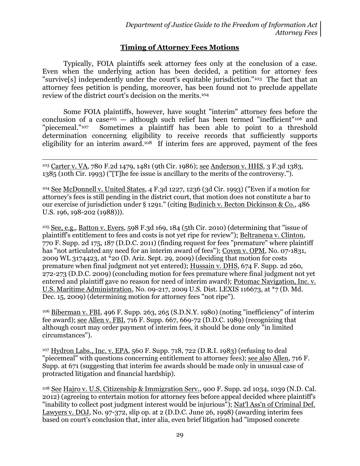# **Timing of Attorney Fees Motions**

Typically, FOIA plaintiffs seek attorney fees only at the conclusion of a case. Even when the underlying action has been decided, a petition for attorney fees "survive[s] independently under the court's equitable jurisdiction."103 The fact that an attorney fees petition is pending, moreover, has been found not to preclude appellate review of the district court's decision on the merits.<sup>104</sup>

Some FOIA plaintiffs, however, have sought "interim" attorney fees before the conclusion of a case<sup>105</sup>  $-$  although such relief has been termed "inefficient"<sup>106</sup> and "piecemeal."107 Sometimes a plaintiff has been able to point to a threshold determination concerning eligibility to receive records that sufficiently supports eligibility for an interim award.<sup>108</sup> If interim fees are approved, payment of the fees

 $\overline{a}$ <sup>103</sup> Carter v. VA, 780 F.2d 1479, 1481 (9th Cir. 1986); see Anderson v. HHS, 3 F.3d 1383, 1385 (10th Cir. 1993) ("[T]he fee issue is ancillary to the merits of the controversy.").

<sup>104</sup> See McDonnell v. United States, 4 F.3d 1227, 1236 (3d Cir. 1993) ("Even if a motion for attorney's fees is still pending in the district court, that motion does not constitute a bar to our exercise of jurisdiction under § 1291." (citing Budinich v. Becton Dickinson & Co., 486 U.S. 196, 198-202 (1988))).

<sup>105</sup> See, e.g., Batton v. Evers, 598 F.3d 169, 184 (5th Cir. 2010) (determining that "issue of plaintiff's entitlement to fees and costs is not yet ripe for review"); Beltranena v. Clinton, 770 F. Supp. 2d 175, 187 (D.D.C. 2011) (finding request for fees "premature" where plaintiff has "not articulated any need for an interim award of fees"); Coven v. OPM, No. 07-1831, 2009 WL 3174423, at \*20 (D. Ariz. Sept. 29, 2009) (deciding that motion for costs premature when final judgment not yet entered); Hussain v. DHS, 674 F. Supp. 2d 260, 272-273 (D.D.C. 2009) (concluding motion for fees premature where final judgment not yet entered and plaintiff gave no reason for need of interim award); Potomac Navigation, Inc. v. U.S. Maritime Administration, No. 09-217, 2009 U.S. Dist. LEXIS 116673, at \*7 (D. Md. Dec. 15, 2009) (determining motion for attorney fees "not ripe").

<sup>106</sup> Biberman v. FBI, 496 F. Supp. 263, 265 (S.D.N.Y. 1980) (noting "inefficiency" of interim fee award); see Allen v. FBI, 716 F. Supp. 667, 669-72 (D.D.C. 1989) (recognizing that although court may order payment of interim fees, it should be done only "in limited circumstances").

<sup>107</sup> Hydron Labs., Inc. v. EPA, 560 F. Supp. 718, 722 (D.R.I. 1983) (refusing to deal "piecemeal" with questions concerning entitlement to attorney fees); see also Allen, 716 F. Supp. at 671 (suggesting that interim fee awards should be made only in unusual case of protracted litigation and financial hardship).

<sup>108</sup> See Hajro v. U.S. Citizenship & Immigration Serv., 900 F. Supp. 2d 1034, 1039 (N.D. Cal. 2012) (agreeing to entertain motion for attorney fees before appeal decided where plaintiff's "inability to collect post judgment interest would be injurious"); Nat'l Ass'n of Criminal Def. Lawyers v. DOJ, No. 97-372, slip op. at 2 (D.D.C. June 26, 1998) (awarding interim fees based on court's conclusion that, inter alia, even brief litigation had "imposed concrete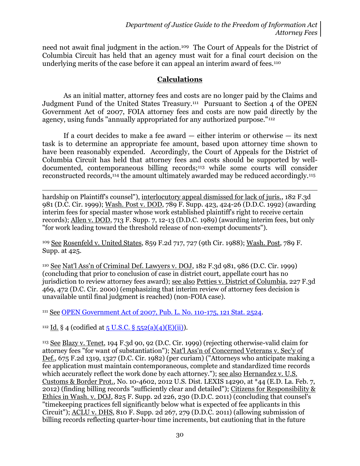need not await final judgment in the action.109 The Court of Appeals for the District of Columbia Circuit has held that an agency must wait for a final court decision on the underlying merits of the case before it can appeal an interim award of fees.<sup>110</sup>

### **Calculations**

As an initial matter, attorney fees and costs are no longer paid by the Claims and Judgment Fund of the United States Treasury.<sup>111</sup> Pursuant to Section 4 of the OPEN Government Act of 2007, FOIA attorney fees and costs are now paid directly by the agency, using funds "annually appropriated for any authorized purpose."<sup>112</sup>

If a court decides to make a fee award  $-$  either interim or otherwise  $-$  its next task is to determine an appropriate fee amount, based upon attorney time shown to have been reasonably expended. Accordingly, the Court of Appeals for the District of Columbia Circuit has held that attorney fees and costs should be supported by welldocumented, contemporaneous billing records;<sup>113</sup> while some courts will consider reconstructed records,<sup>114</sup> the amount ultimately awarded may be reduced accordingly.<sup>115</sup>

 $\overline{a}$ hardship on Plaintiff's counsel"), interlocutory appeal dismissed for lack of juris., 182 F.3d 981 (D.C. Cir. 1999); Wash. Post v. DOD, 789 F. Supp. 423, 424-26 (D.D.C. 1992) (awarding interim fees for special master whose work established plaintiff's right to receive certain records); Allen v. DOD, 713 F. Supp. 7, 12-13 (D.D.C. 1989) (awarding interim fees, but only "for work leading toward the threshold release of non-exempt documents").

<sup>109</sup> See Rosenfeld v. United States, 859 F.2d 717, 727 (9th Cir. 1988); Wash. Post, 789 F. Supp. at 425.

<sup>110</sup> See Nat'l Ass'n of Criminal Def. Lawyers v. DOJ, 182 F.3d 981, 986 (D.C. Cir. 1999) (concluding that prior to conclusion of case in district court, appellate court has no jurisdiction to review attorney fees award); see also Petties v. District of Columbia, 227 F.3d 469, 472 (D.C. Cir. 2000) (emphasizing that interim review of attorney fees decision is unavailable until final judgment is reached) (non-FOIA case).

111 See [OPEN Government Act of 2007, Pub. L. No. 110-175, 121 Stat. 2524.](http://www.gpo.gov/fdsys/pkg/PLAW-110publ175/pdf/PLAW-110publ175.pdf)

<sup>112</sup> Id. § 4 (codified at  $5$  U.S.C. §  $552(a)(4)(E)(ii)$ ).

<sup>113</sup> See Blazy v. Tenet, 194 F.3d 90, 92 (D.C. Cir. 1999) (rejecting otherwise-valid claim for attorney fees "for want of substantiation"); Nat'l Ass'n of Concerned Veterans v. Sec'y of Def., 675 F.2d 1319, 1327 (D.C. Cir. 1982) (per curiam) ("Attorneys who anticipate making a fee application must maintain contemporaneous, complete and standardized time records which accurately reflect the work done by each attorney."); see also Hernandez v. U.S. Customs & Border Prot., No. 10-4602, 2012 U.S. Dist. LEXIS 14290, at \*44 (E.D. La. Feb. 7, 2012) (finding billing records "sufficiently clear and detailed"); Citizens for Responsibility & Ethics in Wash. v. DOJ, 825 F. Supp. 2d 226, 230 (D.D.C. 2011) (concluding that counsel's "timekeeping practices fell significantly below what is expected of fee applicants in this Circuit"); ACLU v. DHS, 810 F. Supp. 2d 267, 279 (D.D.C. 2011) (allowing submission of billing records reflecting quarter-hour time increments, but cautioning that in the future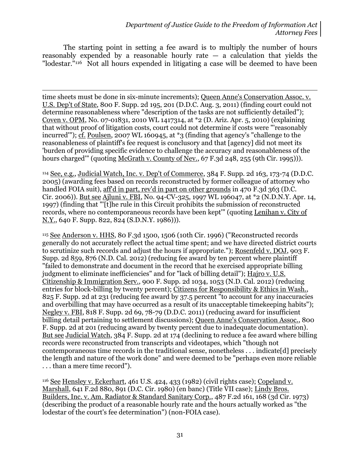The starting point in setting a fee award is to multiply the number of hours reasonably expended by a reasonable hourly rate  $-$  a calculation that yields the "lodestar."<sup>116</sup> Not all hours expended in litigating a case will be deemed to have been

time sheets must be done in six-minute increments); Queen Anne's Conservation Assoc. v. U.S. Dep't of State, 800 F. Supp. 2d 195, 201 (D.D.C. Aug. 3, 2011) (finding court could not determine reasonableness where "description of the tasks are not sufficiently detailed"); Coven v. OPM, No. 07-01831, 2010 WL 1417314, at \*2 (D. Ariz. Apr. 5, 2010) (explaining that without proof of litigation costs, court could not determine if costs were "'reasonably incurred'"); cf. Poulsen, 2007 WL 160945, at \*3 (finding that agency's "challenge to the reasonableness of plaintiff's fee request is conclusory and that [agency] did not meet its 'burden of providing specific evidence to challenge the accuracy and reasonableness of the hours charged'" (quoting McGrath v. County of Nev., 67 F.3d 248, 255 (9th Cir. 1995)).

 $\overline{a}$ 

<sup>114</sup> See, e.g., Judicial Watch, Inc. v. Dep't of Commerce, 384 F. Supp. 2d 163, 173-74 (D.D.C. 2005) (awarding fees based on records reconstructed by former colleague of attorney who handled FOIA suit), aff'd in part, rev'd in part on other grounds in 470 F.3d 363 (D.C. Cir. 2006)). But see Ajluni v. FBI, No. 94-CV-325, 1997 WL 196047, at \*2 (N.D.N.Y. Apr. 14, 1997) (finding that "'[t]he rule in this Circuit prohibits the submission of reconstructed records, where no contemporaneous records have been kept'" (quoting Lenihan v. City of N.Y., 640 F. Supp. 822, 824 (S.D.N.Y. 1986))).

<sup>115</sup> See Anderson v. HHS, 80 F.3d 1500, 1506 (10th Cir. 1996) ("Reconstructed records generally do not accurately reflect the actual time spent; and we have directed district courts to scrutinize such records and adjust the hours if appropriate."); Rosenfeld v. DOJ, 903 F. Supp. 2d 859, 876 (N.D. Cal. 2012) (reducing fee award by ten percent where plaintiff "failed to demonstrate and document in the record that he exercised appropriate billing judgment to eliminate inefficiencies" and for "lack of billing detail"); Hajro v. U.S. Citizenship & Immigration Serv., 900 F. Supp. 2d 1034, 1053 (N.D. Cal. 2012) (reducing entries for block-billing by twenty percent); Citizens for Responsibility & Ethics in Wash., 825 F. Supp. 2d at 231 (reducing fee award by 37.5 percent "to account for any inaccuracies and overbilling that may have occurred as a result of its unacceptable timekeeping habits"); Negley v. FBI, 818 F. Supp. 2d 69, 78-79 (D.D.C. 2011) (reducing award for insufficient billing detail pertaining to settlement discussions); Queen Anne's Conservation Assoc., 800 F. Supp. 2d at 201 (reducing award by twenty percent due to inadequate documentation). But see Judicial Watch, 384 F. Supp. 2d at 174 (declining to reduce a fee award where billing records were reconstructed from transcripts and videotapes, which "though not contemporaneous time records in the traditional sense, nonetheless . . . indicate[d] precisely the length and nature of the work done" and were deemed to be "perhaps even more reliable . . . than a mere time record").

<sup>116</sup> See Hensley v. Eckerhart, 461 U.S. 424, 433 (1982) (civil rights case); Copeland v. Marshall, 641 F.2d 880, 891 (D.C. Cir. 1980) (en banc) (Title VII case); Lindy Bros. Builders, Inc. v. Am. Radiator & Standard Sanitary Corp., 487 F.2d 161, 168 (3d Cir. 1973) (describing the product of a reasonable hourly rate and the hours actually worked as "the lodestar of the court's fee determination") (non-FOIA case).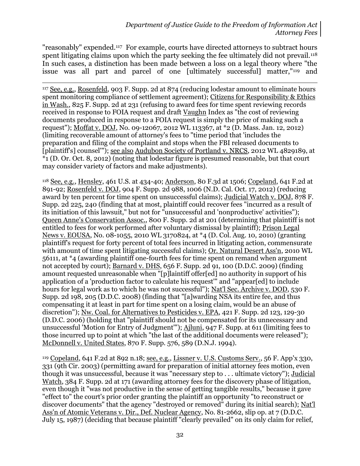"reasonably" expended.117 For example, courts have directed attorneys to subtract hours spent litigating claims upon which the party seeking the fee ultimately did not prevail.<sup>118</sup> In such cases, a distinction has been made between a loss on a legal theory where "the issue was all part and parcel of one [ultimately successful] matter,"<sup>119</sup> and

 $\overline{a}$ 

<sup>117</sup> See, e.g., Rosenfeld, 903 F. Supp. 2d at 874 (reducing lodestar amount to eliminate hours spent monitoring compliance of settlement agreement); Citizens for Responsibility & Ethics in Wash., 825 F. Supp. 2d at 231 (refusing to award fees for time spent reviewing records received in response to FOIA request and draft Vaughn Index as "the cost of reviewing documents produced in response to a FOIA request is simply the price of making such a request"); Moffat v. DOJ, No. 09-12067, 2012 WL 113367, at \*2 (D. Mass. Jan. 12, 2012) (limiting recoverable amount of attorney's fees to "time period that 'includes the preparation and filing of the complaint and stops when the FBI released documents to [plaintiff's] counsel'"); see also Audubon Society of Portland v. NRCS, 2012 WL 4829189, at  $*_{1}$  (D. Or. Oct. 8, 2012) (noting that lodestar figure is presumed reasonable, but that court may consider variety of factors and make adjustments).

<sup>118</sup> See, e.g., Hensley, 461 U.S. at 434-40; Anderson, 80 F.3d at 1506; Copeland, 641 F.2d at 891-92; Rosenfeld v. DOJ, 904 F. Supp. 2d 988, 1006 (N.D. Cal. Oct. 17, 2012) (reducing award by ten percent for time spent on unsuccessful claims); Judicial Watch v. DOJ, 878 F. Supp. 2d 225, 240 (finding that at most, plaintiff could recover fees "incurred as a result of its initiation of this lawsuit," but not for "unsuccessful and 'nonproductive' activities"); Queen Anne's Conservation Assoc., 800 F. Supp. 2d at 201 (determining that plaintiff is not entitled to fees for work performed after voluntary dismissal by plaintiff); Prison Legal News v. EOUSA, No. 08-1055, 2010 WL 3170824, at \*4 (D. Col. Aug. 10, 2010) (granting plaintiff's request for forty percent of total fees incurred in litigating action, commensurate with amount of time spent litigating successful claims); Or. Natural Desert Ass'n, 2010 WL 56111, at \*4 (awarding plaintiff one-fourth fees for time spent on remand when argument not accepted by court); Barnard v. DHS, 656 F. Supp. 2d 91, 100 (D.D.C. 2009) (finding amount requested unreasonable when "[p]laintiff offer[ed] no authority in support of his application of a 'production factor to calculate his request'" and "appear[ed] to include hours for legal work as to which he was not successful"); Nat'l Sec. Archive v. DOD, 530 F. Supp. 2d 198, 205 (D.D.C. 2008) (finding that "[a]warding NSA its entire fee, and thus compensating it at least in part for time spent on a losing claim, would be an abuse of discretion"); Nw. Coal. for Alternatives to Pesticides v. EPA, 421 F. Supp. 2d 123, 129-30 (D.D.C. 2006) (holding that "plaintiff should not be compensated for its unnecessary and unsuccessful 'Motion for Entry of Judgment'"); Ajluni, 947 F. Supp. at 611 (limiting fees to those incurred up to point at which "the last of the additional documents were released"); McDonnell v. United States, 870 F. Supp. 576, 589 (D.N.J. 1994).

<sup>119</sup> Copeland, 641 F.2d at 892 n.18; see, e.g., Lissner v. U.S. Customs Serv., 56 F. App'x 330, 331 (9th Cir. 2003) (permitting award for preparation of initial attorney fees motion, even though it was unsuccessful, because it was "necessary step to . . . ultimate victory"); Judicial Watch, 384 F. Supp. 2d at 171 (awarding attorney fees for the discovery phase of litigation, even though it "was not productive in the sense of getting tangible results," because it gave "effect to" the court's prior order granting the plaintiff an opportunity "to reconstruct or discover documents" that the agency "destroyed or removed" during its initial search); Nat'l Ass'n of Atomic Veterans v. Dir., Def. Nuclear Agency, No. 81-2662, slip op. at 7 (D.D.C. July 15, 1987) (deciding that because plaintiff "clearly prevailed" on its only claim for relief,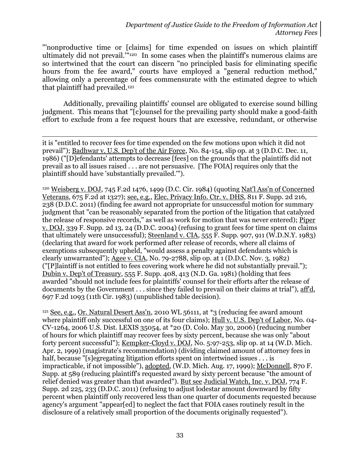"'nonproductive time or [claims] for time expended on issues on which plaintiff ultimately did not prevail.'"120 In some cases when the plaintiff's numerous claims are so intertwined that the court can discern "no principled basis for eliminating specific hours from the fee award," courts have employed a "general reduction method," allowing only a percentage of fees commensurate with the estimated degree to which that plaintiff had prevailed.<sup>121</sup>

Additionally, prevailing plaintiffs' counsel are obligated to exercise sound billing judgment. This means that "[c]ounsel for the prevailing party should make a good-faith effort to exclude from a fee request hours that are excessive, redundant, or otherwise

 $\overline{a}$ it is "entitled to recover fees for time expended on the few motions upon which it did not prevail"); Badhwar v. U.S. Dep't of the Air Force, No. 84-154, slip op. at 3 (D.D.C. Dec. 11, 1986) ("[D]efendants' attempts to decrease [fees] on the grounds that the plaintiffs did not prevail as to all issues raised . . . are not persuasive. [The FOIA] requires only that the plaintiff should have 'substantially prevailed.'").

<sup>120</sup> Weisberg v. DOJ, 745 F.2d 1476, 1499 (D.C. Cir. 1984) (quoting Nat'l Ass'n of Concerned Veterans, 675 F.2d at 1327); see, e.g., Elec. Privacy Info. Ctr. v. DHS, 811 F. Supp. 2d 216, 238 (D.D.C. 2011) (finding fee award not appropriate for unsuccessful motion for summary judgment that "can be reasonably separated from the portion of the litigation that catalyzed the release of responsive records," as well as work for motion that was never entered); Piper v. DOJ, 339 F. Supp. 2d 13, 24 (D.D.C. 2004) (refusing to grant fees for time spent on claims that ultimately were unsuccessful); Steenland v. CIA, 555 F. Supp. 907, 911 (W.D.N.Y. 1983) (declaring that award for work performed after release of records, where all claims of exemptions subsequently upheld, "would assess a penalty against defendants which is clearly unwarranted"); Agee v. CIA, No. 79-2788, slip op. at 1 (D.D.C. Nov. 3, 1982) ("[P]laintiff is not entitled to fees covering work where he did not substantially prevail."); Dubin v. Dep't of Treasury, 555 F. Supp. 408, 413 (N.D. Ga. 1981) (holding that fees awarded "should not include fees for plaintiffs' counsel for their efforts after the release of documents by the Government . . . since they failed to prevail on their claims at trial"), aff'd, 697 F.2d 1093 (11th Cir. 1983) (unpublished table decision).

<sup>121</sup> See, e.g., Or. Natural Desert Ass'n, 2010 WL 56111, at \*3 (reducing fee award amount where plaintiff only successful on one of its four claims); Hull v. U.S. Dep't of Labor, No. 04- CV-1264, 2006 U.S. Dist. LEXIS 35054, at \*20 (D. Colo. May 30, 2006) (reducing number of hours for which plaintiff may recover fees by sixty percent, because she was only "about forty percent successful"); Kempker-Cloyd v. DOJ, No. 5:97-253, slip op. at 14 (W.D. Mich. Apr. 2, 1999) (magistrate's recommendation) (dividing claimed amount of attorney fees in half, because "[s]egregating litigation efforts spent on intertwined issues . . . is impracticable, if not impossible"), adopted, (W.D. Mich. Aug. 17, 1999); McDonnell, 870 F. Supp. at 589 (reducing plaintiff's requested award by sixty percent because "the amount of relief denied was greater than that awarded"). But see Judicial Watch, Inc. v. DOJ, 774 F. Supp. 2d 225, 233 (D.D.C. 2011) (refusing to adjust lodestar amount downward by fifty percent when plaintiff only recovered less than one quarter of documents requested because agency's argument "appear[ed] to neglect the fact that FOIA cases routinely result in the disclosure of a relatively small proportion of the documents originally requested").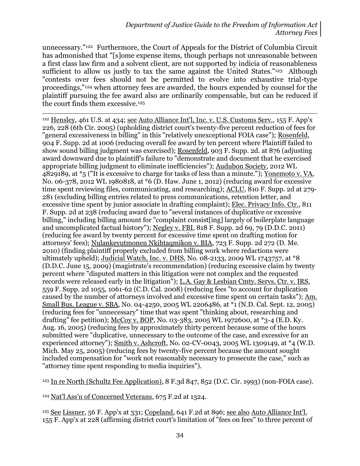unnecessary."122 Furthermore, the Court of Appeals for the District of Columbia Circuit has admonished that "[s]ome expense items, though perhaps not unreasonable between a first class law firm and a solvent client, are not supported by indicia of reasonableness sufficient to allow us justly to tax the same against the United States."<sup>123</sup> Although "contests over fees should not be permitted to evolve into exhaustive trial-type proceedings,"<sup>124</sup> when attorney fees are awarded, the hours expended by counsel for the plaintiff pursuing the fee award also are ordinarily compensable, but can be reduced if the court finds them excessive. 125

 $\overline{a}$ <sup>122</sup> Hensley, 461 U.S. at 434; see Auto Alliance Int'l, Inc. v. U.S. Customs Serv., 155 F. App'x 226, 228 (6th Cir. 2005) (upholding district court's twenty-five percent reduction of fees for "general excessiveness in billing" in this "relatively unexceptional FOIA case"); Rosenfeld, 904 F. Supp. 2d at 1006 (reducing overall fee award by ten percent where Plaintiff failed to show sound billing judgment was exercised); Rosenfeld, 903 F. Supp. 2d. at 876 (adjusting award downward due to plaintiff's failure to "demonstrate and document that he exercised appropriate billing judgment to eliminate inefficiencies"); Audubon Society, 2012 WL 4829189, at \*5 ("It is excessive to charge for tasks of less than a minute."); Yonemoto v. VA, No. 06-378, 2012 WL 1980818, at \*6 (D. Haw. June 1, 2012) (reducing award for excessive time spent reviewing files, communicating, and researching); ACLU, 810 F. Supp. 2d at 279- 281 (excluding billing entries related to press communications, retention letter, and excessive time spent by junior associate in drafting complaint); Elec. Privacy Info. Ctr., 811 F. Supp. 2d at 238 (reducing award due to "several instances of duplicative or excessive billing," including billing amount for "complaint consist[ing] largely of boilerplate language and uncomplicated factual history"); Negley v. FBI, 818 F. Supp. 2d 69, 79 (D.D.C. 2011) (reducing fee award by twenty percent for excessive time spent on drafting motion for attorneys' fees); Nulankeyutmonen Nkihtaqmikon v. BIA, 723 F. Supp. 2d 272 (D. Me. 2010) (finding plaintiff properly excluded from billing work where redactions were ultimately upheld); Judicial Watch, Inc. v. DHS, No. 08-2133, 2009 WL 1743757, at \*8 (D.D.C. June 15, 2009) (magistrate's recommendation) (reducing excessive claim by twenty percent where "disputed matters in this litigation were not complex and the requested records were released early in the litigation"); L.A. Gay & Lesbian Cmty. Servs. Ctr. v. IRS, 559 F. Supp. 2d 1055, 1061-62 (C.D. Cal. 2008) (reducing fees "to account for duplication caused by the number of attorneys involved and excessive time spent on certain tasks"); Am. Small Bus. League v. SBA, No. 04-4250, 2005 WL 2206486, at  $*$ 1 (N.D. Cal. Sept. 12, 2005) (reducing fees for "unnecessary" time that was spent "thinking about, researching and drafting" fee petition); McCoy v. BOP, No. 03-383, 2005 WL 1972600, at \*3-4 (E.D. Ky. Aug. 16, 2005) (reducing fees by approximately thirty percent because some of the hours submitted were "duplicative, unnecessary to the outcome of the case, and excessive for an experienced attorney"); Smith v. Ashcroft, No. 02-CV-0043, 2005 WL 1309149, at \*4 (W.D. Mich. May 25, 2005) (reducing fees by twenty-five percent because the amount sought included compensation for "work not reasonably necessary to prosecute the case," such as "attorney time spent responding to media inquiries").

<sup>123</sup> In re North (Schultz Fee Application), 8 F.3d 847, 852 (D.C. Cir. 1993) (non-FOIA case).

<sup>124</sup> Nat'l Ass'n of Concerned Veterans, 675 F.2d at 1324.

<sup>125</sup> See Lissner, 56 F. App'x at 331; Copeland, 641 F.2d at 896; see also Auto Alliance Int'l, 155 F. App'x at 228 (affirming district court's limitation of "fees on fees" to three percent of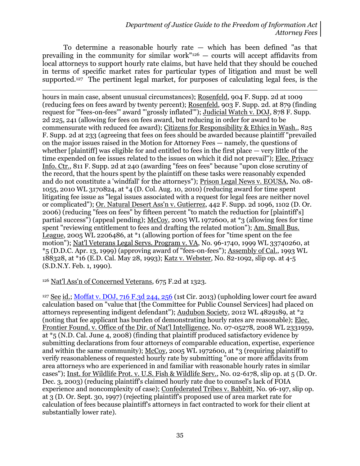To determine a reasonable hourly rate — which has been defined "as that prevailing in the community for similar work"<sup>126</sup> — courts will accept affidavits from local attorneys to support hourly rate claims, but have held that they should be couched in terms of specific market rates for particular types of litigation and must be well supported.127 The pertinent legal market, for purposes of calculating legal fees, is the

 $\overline{a}$ hours in main case, absent unusual circumstances); Rosenfeld, 904 F. Supp. 2d at 1009 (reducing fees on fees award by twenty percent); Rosenfeld, 903 F. Supp. 2d. at 879 (finding request for "'fees-on-fees'" award "'grossly inflated'"); Judicial Watch v. DOJ, 878 F. Supp. 2d 225, 241 (allowing for fees on fees award, but reducing in order for award to be commensurate with reduced fee award); Citizens for Responsibility & Ethics in Wash., 825 F. Supp. 2d at 233 (agreeing that fees on fees should be awarded because plaintiff "prevailed on the major issues raised in the Motion for Attorney Fees — namely, the questions of whether [plaintiff] was eligible for and entitled to fees in the first place — very little of the time expended on fee issues related to the issues on which it did not prevail"); Elec. Privacy Info. Ctr., 811 F. Supp. 2d at 240 (awarding "fees on fees" because "upon close scrutiny of the record, that the hours spent by the plaintiff on these tasks were reasonably expended and do not constitute a 'windfall' for the attorneys"); Prison Legal News v. EOUSA, No. 08- 1055, 2010 WL 3170824, at \*4 (D. Col. Aug. 10, 2010) (reducing award for time spent litigating fee issue as "legal issues associated with a request for legal fees are neither novel or complicated"); Or. Natural Desert Ass'n v. Gutierrez, 442 F. Supp. 2d 1096, 1102 (D. Or. 2006) (reducing "fees on fees" by fifteen percent "to match the reduction for [plaintiff's] partial success") (appeal pending); McCoy, 2005 WL 1972600, at \*3 (allowing fees for time spent "reviewing entitlement to fees and drafting the related motion"); Am. Small Bus. League, 2005 WL 2206486, at \*1 (allowing portion of fees for "time spent on the fee motion"); Nat'l Veterans Legal Servs. Program v. VA, No. 96-1740, 1999 WL 33740260, at \*5 (D.D.C. Apr. 13, 1999) (approving award of "fees-on-fees"); Assembly of Cal., 1993 WL 188328, at \*16 (E.D. Cal. May 28, 1993); Katz v. Webster, No. 82-1092, slip op. at 4-5 (S.D.N.Y. Feb. 1, 1990).

#### <sup>126</sup> Nat'l Ass'n of Concerned Veterans, 675 F.2d at 1323.

<sup>127</sup> See id.; Moffat v. DOJ, 716 F.3d  $244$ ,  $256$  (1st Cir. 2013) (upholding lower court fee award calculation based on "value that [the Committee for Public Counsel Services] had placed on attorneys representing indigent defendant"); Audubon Society, 2012 WL 4829189, at \*2 (noting that fee applicant has burden of demonstrating hourly rates are reasonable); Elec. Frontier Found. v. Office of the Dir. of Nat'l Intelligence, No. 07-05278, 2008 WL 2331959, at \*5 (N.D. Cal. June 4, 2008) (finding that plaintiff produced satisfactory evidence by submitting declarations from four attorneys of comparable education, expertise, experience and within the same community); McCoy, 2005 WL 1972600, at \*3 (requiring plaintiff to verify reasonableness of requested hourly rate by submitting "one or more affidavits from area attorneys who are experienced in and familiar with reasonable hourly rates in similar cases"); Inst. for Wildlife Prot. v. U.S. Fish & Wildlife Serv., No. 02-6178, slip op. at 5 (D. Or. Dec. 3, 2003) (reducing plaintiff's claimed hourly rate due to counsel's lack of FOIA experience and noncomplexity of case); Confederated Tribes v. Babbitt, No. 96-197, slip op. at 3 (D. Or. Sept. 30, 1997) (rejecting plaintiff's proposed use of area market rate for calculation of fees because plaintiff's attorneys in fact contracted to work for their client at substantially lower rate).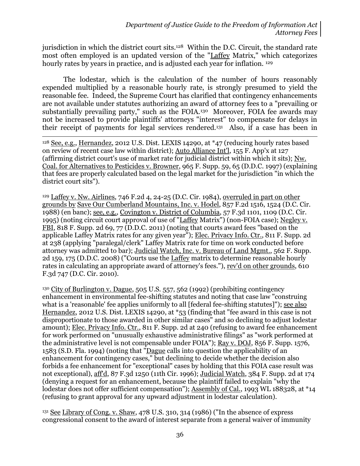jurisdiction in which the district court sits.128 Within the D.C. Circuit, the standard rate most often employed is an updated version of the "Laffey Matrix," which categorizes hourly rates by years in practice, and is adjusted each year for inflation. <sup>129</sup>

The lodestar, which is the calculation of the number of hours reasonably expended multiplied by a reasonable hourly rate, is strongly presumed to yield the reasonable fee. Indeed, the Supreme Court has clarified that contingency enhancements are not available under statutes authorizing an award of attorney fees to a "prevailing or substantially prevailing party," such as the FOIA.130 Moreover, FOIA fee awards may not be increased to provide plaintiffs' attorneys "interest" to compensate for delays in their receipt of payments for legal services rendered.<sup>131</sup> Also, if a case has been in

 $\overline{a}$ <sup>128</sup> See, e.g., Hernandez, 2012 U.S. Dist. LEXIS 14290, at \*47 (reducing hourly rates based on review of recent case law within district); Auto Alliance Int'l, 155 F. App'x at 127 (affirming district court's use of market rate for judicial district within which it sits); Nw. Coal. for Alternatives to Pesticides v. Browner, 965 F. Supp. 59, 65 (D.D.C. 1997) (explaining that fees are properly calculated based on the legal market for the jurisdiction "in which the district court sits").

<sup>129</sup> Laffey v. Nw. Airlines, 746 F.2d 4, 24-25 (D.C. Cir. 1984), overruled in part on other grounds by Save Our Cumberland Mountains, Inc. v. Hodel, 857 F.2d 1516, 1524 (D.C. Cir. 1988) (en banc); see, e.g., Covington v. District of Columbia, 57 F.3d 1101, 1109 (D.C. Cir. 1995) (noting circuit court approval of use of "Laffey Matrix") (non-FOIA case); Negley v. FBI, 818 F. Supp. 2d 69, 77 (D.D.C. 2011) (noting that courts award fees "based on the applicable Laffey Matrix rates for any given year"); Elec. Privacy Info. Ctr., 811 F. Supp. 2d at 238 (applying "paralegal/clerk" Laffey Matrix rate for time on work conducted before attorney was admitted to bar); Judicial Watch, Inc. v. Bureau of Land Mgmt., 562 F. Supp. 2d 159, 175 (D.D.C. 2008) ("Courts use the Laffey matrix to determine reasonable hourly rates in calculating an appropriate award of attorney's fees."), rev'd on other grounds, 610 F.3d 747 (D.C. Cir. 2010).

<sup>130</sup> City of Burlington v. Dague, 505 U.S. 557, 562 (1992) (prohibiting contingency enhancement in environmental fee-shifting statutes and noting that case law "construing what is a 'reasonable' fee applies uniformly to all [federal fee-shifting statutes]"); see also Hernandez, 2012 U.S. Dist. LEXIS 14290, at \*53 (finding that "fee award in this case is not disproportionate to those awarded in other similar cases" and so declining to adjust lodestar amount); Elec. Privacy Info. Ctr., 811 F. Supp. 2d at 240 (refusing to award fee enhancement for work performed on "unusually exhaustive administrative filings" as "work performed at the administrative level is not compensable under FOIA"); Ray v. DOJ, 856 F. Supp. 1576, 1583 (S.D. Fla. 1994) (noting that "Dague calls into question the applicability of an enhancement for contingency cases," but declining to decide whether the decision also forbids a fee enhancement for "exceptional" cases by holding that this FOIA case result was not exceptional), aff'd, 87 F.3d 1250 (11th Cir. 1996); Judicial Watch, 384 F. Supp. 2d at 174 (denying a request for an enhancement, because the plaintiff failed to explain "why the lodestar does not offer sufficient compensation"); Assembly of Cal., 1993 WL 188328, at \*14 (refusing to grant approval for any upward adjustment in lodestar calculation).

<sup>131</sup> See Library of Cong. v. Shaw, 478 U.S. 310, 314 (1986) ("In the absence of express congressional consent to the award of interest separate from a general waiver of immunity